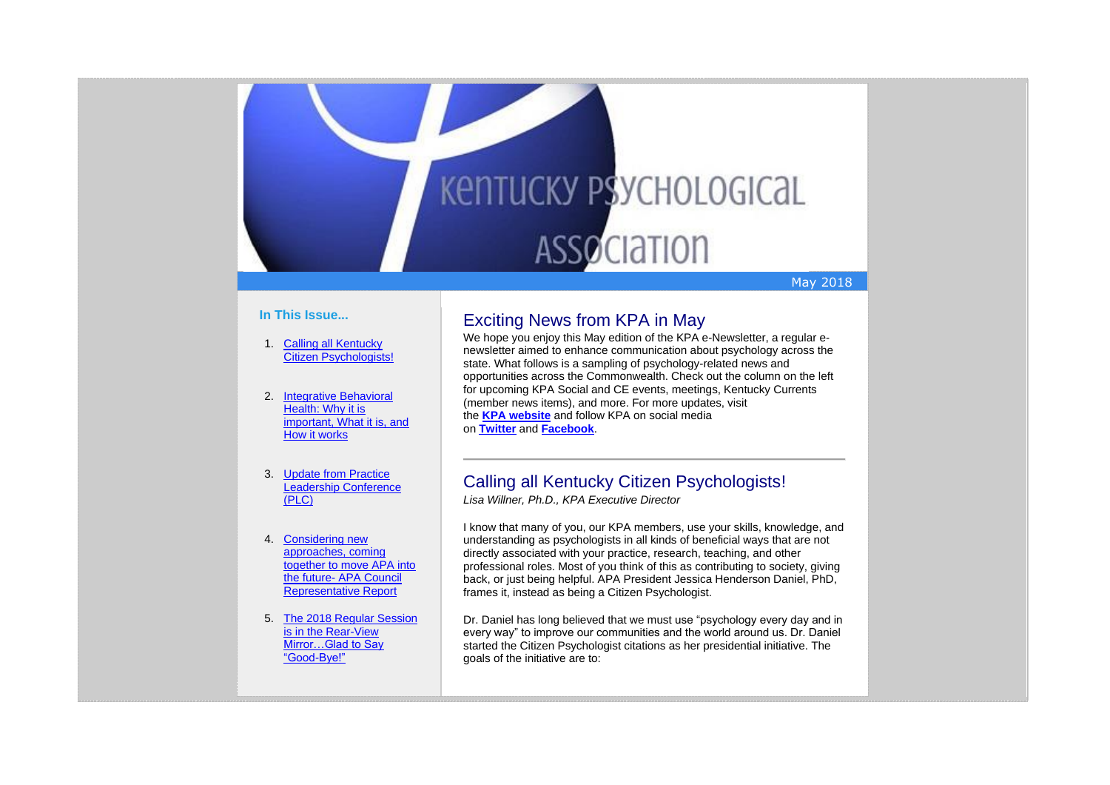

## May 2018

## **In This Issue...**

- 1. [Calling all Kentucky](https://kpa.memberclicks.net/administrator/index.php?option=com_mccore&view=contactcenter#CitizenPsych)  [Citizen Psychologists!](https://kpa.memberclicks.net/administrator/index.php?option=com_mccore&view=contactcenter#CitizenPsych)
- 2. [Integrative Behavioral](https://kpa.memberclicks.net/administrator/index.php?option=com_mccore&view=contactcenter#IntegrativeBehavioralHealth)  Health: Why it is [important, What it is, and](https://kpa.memberclicks.net/administrator/index.php?option=com_mccore&view=contactcenter#IntegrativeBehavioralHealth)  [How it works](https://kpa.memberclicks.net/administrator/index.php?option=com_mccore&view=contactcenter#IntegrativeBehavioralHealth)
- 3. [Update from Practice](https://kpa.memberclicks.net/administrator/index.php?option=com_mccore&view=contactcenter#PLC)  [Leadership Conference](https://kpa.memberclicks.net/administrator/index.php?option=com_mccore&view=contactcenter#PLC)  [\(PLC\)](https://kpa.memberclicks.net/administrator/index.php?option=com_mccore&view=contactcenter#PLC)
- 4. [Considering new](https://kpa.memberclicks.net/administrator/index.php?option=com_mccore&view=contactcenter#APACouncil)  [approaches, coming](https://kpa.memberclicks.net/administrator/index.php?option=com_mccore&view=contactcenter#APACouncil)  [together to move APA into](https://kpa.memberclicks.net/administrator/index.php?option=com_mccore&view=contactcenter#APACouncil)  the future- [APA Council](https://kpa.memberclicks.net/administrator/index.php?option=com_mccore&view=contactcenter#APACouncil)  [Representative Report](https://kpa.memberclicks.net/administrator/index.php?option=com_mccore&view=contactcenter#APACouncil)
- 5. [The 2018 Regular Session](https://kpa.memberclicks.net/administrator/index.php?option=com_mccore&view=contactcenter#SAS)  [is in the Rear-View](https://kpa.memberclicks.net/administrator/index.php?option=com_mccore&view=contactcenter#SAS)  [Mirror…Glad to Say](https://kpa.memberclicks.net/administrator/index.php?option=com_mccore&view=contactcenter#SAS)  ["Good-Bye!"](https://kpa.memberclicks.net/administrator/index.php?option=com_mccore&view=contactcenter#SAS)

## Exciting News from KPA in May

We hope you enjoy this May edition of the KPA e-Newsletter, a regular enewsletter aimed to enhance communication about psychology across the state. What follows is a sampling of psychology-related news and opportunities across the Commonwealth. Check out the column on the left for upcoming KPA Social and CE events, meetings, Kentucky Currents (member news items), and more. For more updates, visit the **KPA [website](http://www.kpa.org/)** and follow KPA on social media on **[Twitter](https://twitter.com/KYPsychAssoc)** and **[Facebook](https://www.facebook.com/KentuckyPsychAssociation/)**.

## Calling all Kentucky Citizen Psychologists!

*Lisa Willner, Ph.D., KPA Executive Director*

I know that many of you, our KPA members, use your skills, knowledge, and understanding as psychologists in all kinds of beneficial ways that are not directly associated with your practice, research, teaching, and other professional roles. Most of you think of this as contributing to society, giving back, or just being helpful. APA President Jessica Henderson Daniel, PhD, frames it, instead as being a Citizen Psychologist.

Dr. Daniel has long believed that we must use "psychology every day and in every way" to improve our communities and the world around us. Dr. Daniel started the Citizen Psychologist citations as her presidential initiative. The goals of the initiative are to: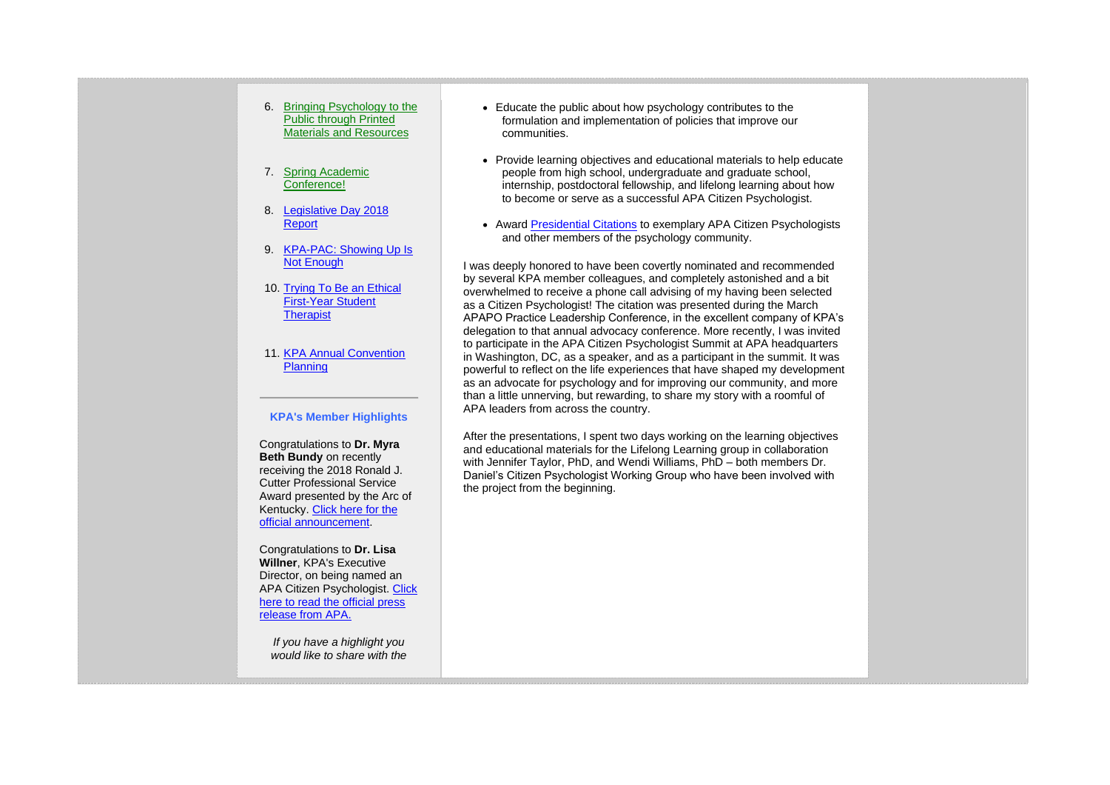- 6. [Bringing Psychology to the](https://kpa.memberclicks.net/administrator/index.php?option=com_mccore&view=contactcenter#PubEd)  [Public through Printed](https://kpa.memberclicks.net/administrator/index.php?option=com_mccore&view=contactcenter#PubEd)  [Materials and Resources](https://kpa.memberclicks.net/administrator/index.php?option=com_mccore&view=contactcenter#PubEd)
- 7. [Spring Academic](https://kpa.memberclicks.net/administrator/index.php?option=com_mccore&view=contactcenter#SAC)  [Conference!](https://kpa.memberclicks.net/administrator/index.php?option=com_mccore&view=contactcenter#SAC)
- 8. [Legislative Day 2018](https://kpa.memberclicks.net/administrator/index.php?option=com_mccore&view=contactcenter#LegDay)  **[Report](https://kpa.memberclicks.net/administrator/index.php?option=com_mccore&view=contactcenter#LegDay)**
- 9. [KPA-PAC: Showing Up Is](https://kpa.memberclicks.net/administrator/index.php?option=com_mccore&view=contactcenter#PAC)  [Not Enough](https://kpa.memberclicks.net/administrator/index.php?option=com_mccore&view=contactcenter#PAC)
- 10. [Trying To Be an Ethical](https://kpa.memberclicks.net/administrator/index.php?option=com_mccore&view=contactcenter#EthicsStudentTherapist)  [First-Year Student](https://kpa.memberclicks.net/administrator/index.php?option=com_mccore&view=contactcenter#EthicsStudentTherapist)  **[Therapist](https://kpa.memberclicks.net/administrator/index.php?option=com_mccore&view=contactcenter#EthicsStudentTherapist)**
- 11. KPA Annual Convention **[Planning](https://kpa.memberclicks.net/administrator/index.php?option=com_mccore&view=contactcenter#Conv)**

## **KPA's Member Highlights**

Congratulations to **Dr. Myra Beth Bundy** on recently receiving the 2018 Ronald J. Cutter Professional Service Award presented by the Arc of Kentucky. [Click here for the](http://stories.eku.edu/people/psychology-professor-honored-service)  [official announcement.](http://stories.eku.edu/people/psychology-professor-honored-service)

Congratulations to **Dr. Lisa Willner**, KPA's Executive Director, on being named an APA Citizen Psychologist. [Click](https://kpa.memberclicks.net/assets/e-Newsletters/CitizenPsy.press-release.pdf)  [here to read the official press](https://kpa.memberclicks.net/assets/e-Newsletters/CitizenPsy.press-release.pdf)  [release from](https://kpa.memberclicks.net/assets/e-Newsletters/CitizenPsy.press-release.pdf) APA.

*If you have a highlight you would like to share with the* 

- Educate the public about how psychology contributes to the formulation and implementation of policies that improve our communities.
- Provide learning objectives and educational materials to help educate people from high school, undergraduate and graduate school, internship, postdoctoral fellowship, and lifelong learning about how to become or serve as a successful APA Citizen Psychologist.
- Award [Presidential Citations](http://www.apa.org/about/governance/president/citation/citizen-psychologist-nomination.aspx) to exemplary APA Citizen Psychologists and other members of the psychology community.

I was deeply honored to have been covertly nominated and recommended by several KPA member colleagues, and completely astonished and a bit overwhelmed to receive a phone call advising of my having been selected as a Citizen Psychologist! The citation was presented during the March APAPO Practice Leadership Conference, in the excellent company of KPA's delegation to that annual advocacy conference. More recently, I was invited to participate in the APA Citizen Psychologist Summit at APA headquarters in Washington, DC, as a speaker, and as a participant in the summit. It was powerful to reflect on the life experiences that have shaped my development as an advocate for psychology and for improving our community, and more than a little unnerving, but rewarding, to share my story with a roomful of APA leaders from across the country.

After the presentations, I spent two days working on the learning objectives and educational materials for the Lifelong Learning group in collaboration with Jennifer Taylor, PhD, and Wendi Williams, PhD – both members Dr. Daniel's Citizen Psychologist Working Group who have been involved with the project from the beginning.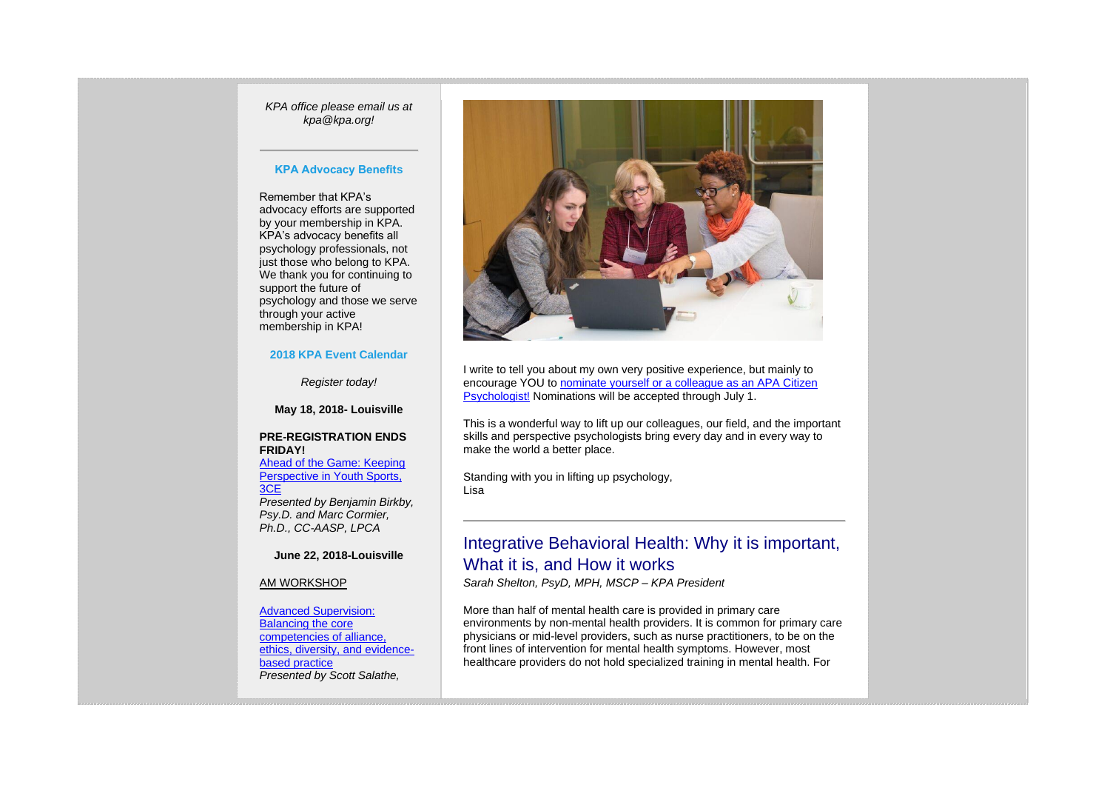*KPA office please email us at kpa@kpa.org!*

## **KPA Advocacy Benefits**

Remember that KPA's advocacy efforts are supported by your membership in KPA. KPA's advocacy benefits all psychology professionals, not just those who belong to KPA. We thank you for continuing to support the future of psychology and those we serve through your active membership in KPA!

## **2018 KPA Event Calendar**

*Register today!*

**May 18, 2018- Louisville**

## **PRE-REGISTRATION ENDS FRIDAY[!](https://kpa.memberclicks.net/index.php?option=com_jevents&task=icalevent.detail&evid=35)** [Ahead of the Game: Keeping](https://kpa.memberclicks.net/index.php?option=com_jevents&task=icalevent.detail&evid=35)

Perspective in Youth Sports, [3CE](https://kpa.memberclicks.net/index.php?option=com_jevents&task=icalevent.detail&evid=35) *Presented by Benjamin Birkby, Psy.D. and Marc Cormier, Ph.D., CC-AASP, LPCA*

## **June 22, 2018-Louisville**

#### AM WORKSHOP

[Advanced Supervision:](https://kpa.memberclicks.net/index.php?option=com_jevents&task=icalevent.detail&evid=32)  [Balancing the core](https://kpa.memberclicks.net/index.php?option=com_jevents&task=icalevent.detail&evid=32)  [competencies of alliance,](https://kpa.memberclicks.net/index.php?option=com_jevents&task=icalevent.detail&evid=32)  [ethics, diversity, and evidence](https://kpa.memberclicks.net/index.php?option=com_jevents&task=icalevent.detail&evid=32)[based practice](https://kpa.memberclicks.net/index.php?option=com_jevents&task=icalevent.detail&evid=32) *Presented by Scott Salathe,* 



I write to tell you about my own very positive experience, but mainly to encourage YOU to [nominate yourself or a colleague as an APA Citizen](http://www.apa.org/about/governance/citizen-psychologist/default.aspx)  [Psychologist!](http://www.apa.org/about/governance/citizen-psychologist/default.aspx) Nominations will be accepted through July 1.

This is a wonderful way to lift up our colleagues, our field, and the important skills and perspective psychologists bring every day and in every way to make the world a better place.

Standing with you in lifting up psychology, Lisa

## Integrative Behavioral Health: Why it is important, What it is, and How it works

*Sarah Shelton, PsyD, MPH, MSCP – KPA President*

More than half of mental health care is provided in primary care environments by non-mental health providers. It is common for primary care physicians or mid-level providers, such as nurse practitioners, to be on the front lines of intervention for mental health symptoms. However, most healthcare providers do not hold specialized training in mental health. For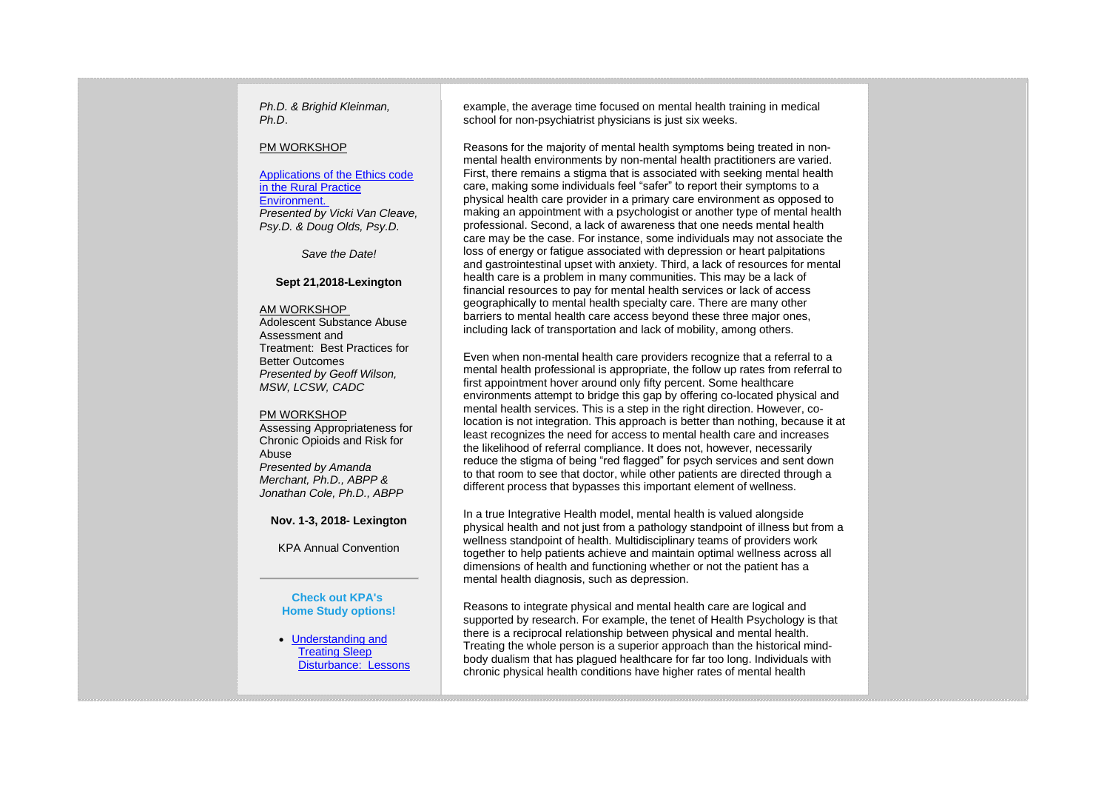*Ph.D. & Brighid Kleinman, Ph.D*.

#### PM WORKSHOP

[Applications of the Ethics code](https://kpa.memberclicks.net/index.php?option=com_jevents&task=icalevent.detail&evid=32)  [in the Rural Practice](https://kpa.memberclicks.net/index.php?option=com_jevents&task=icalevent.detail&evid=32)  [Environment.](https://kpa.memberclicks.net/index.php?option=com_jevents&task=icalevent.detail&evid=32) *Presented by Vicki Van Cleave, Psy.D. & Doug Olds, Psy.D.*

*Save the Date!*

#### **Sept 21,2018-Lexington**

#### AM WORKSHOP

Adolescent Substance Abuse Assessment and Treatment: Best Practices for Better Outcomes *Presented by Geoff Wilson, MSW, LCSW, CADC*

#### PM WORKSHOP

Assessing Appropriateness for Chronic Opioids and Risk for Abuse *Presented by Amanda Merchant, Ph.D., ABPP & Jonathan Cole, Ph.D., ABPP*

## **Nov. 1-3, 2018- Lexington**

KPA Annual Convention

#### **Check out KPA's Home Study options!**

• [Understanding and](https://kpa.memberclicks.net/index.php?option=com_mcform&view=ngforms&id=29734)  [Treating Sleep](https://kpa.memberclicks.net/index.php?option=com_mcform&view=ngforms&id=29734)  [Disturbance: Lessons](https://kpa.memberclicks.net/index.php?option=com_mcform&view=ngforms&id=29734)  example, the average time focused on mental health training in medical school for non-psychiatrist physicians is just six weeks.

Reasons for the majority of mental health symptoms being treated in nonmental health environments by non-mental health practitioners are varied. First, there remains a stigma that is associated with seeking mental health care, making some individuals feel "safer" to report their symptoms to a physical health care provider in a primary care environment as opposed to making an appointment with a psychologist or another type of mental health professional. Second, a lack of awareness that one needs mental health care may be the case. For instance, some individuals may not associate the loss of energy or fatigue associated with depression or heart palpitations and gastrointestinal upset with anxiety. Third, a lack of resources for mental health care is a problem in many communities. This may be a lack of financial resources to pay for mental health services or lack of access geographically to mental health specialty care. There are many other barriers to mental health care access beyond these three major ones, including lack of transportation and lack of mobility, among others.

Even when non-mental health care providers recognize that a referral to a mental health professional is appropriate, the follow up rates from referral to first appointment hover around only fifty percent. Some healthcare environments attempt to bridge this gap by offering co-located physical and mental health services. This is a step in the right direction. However, colocation is not integration. This approach is better than nothing, because it at least recognizes the need for access to mental health care and increases the likelihood of referral compliance. It does not, however, necessarily reduce the stigma of being "red flagged" for psych services and sent down to that room to see that doctor, while other patients are directed through a different process that bypasses this important element of wellness.

In a true Integrative Health model, mental health is valued alongside physical health and not just from a pathology standpoint of illness but from a wellness standpoint of health. Multidisciplinary teams of providers work together to help patients achieve and maintain optimal wellness across all dimensions of health and functioning whether or not the patient has a mental health diagnosis, such as depression.

Reasons to integrate physical and mental health care are logical and supported by research. For example, the tenet of Health Psychology is that there is a reciprocal relationship between physical and mental health. Treating the whole person is a superior approach than the historical mindbody dualism that has plagued healthcare for far too long. Individuals with chronic physical health conditions have higher rates of mental health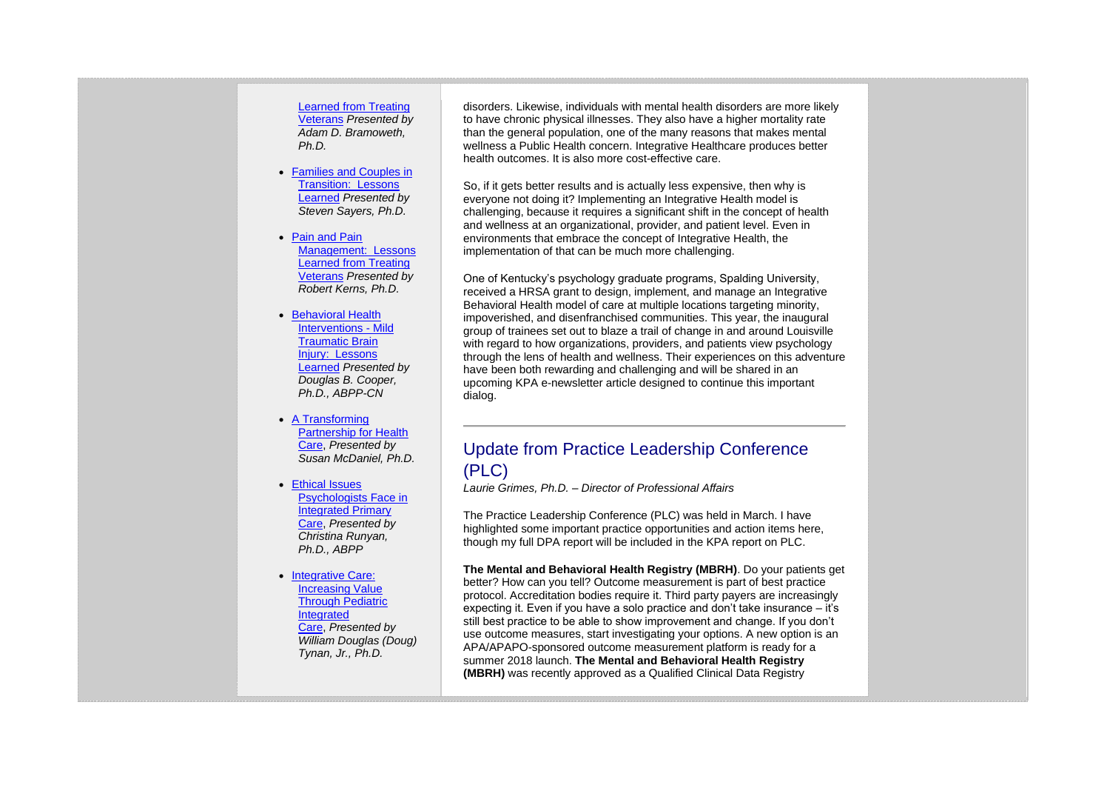[Learned from Treating](https://kpa.memberclicks.net/index.php?option=com_mcform&view=ngforms&id=29734)  [Veterans](https://kpa.memberclicks.net/index.php?option=com_mcform&view=ngforms&id=29734) *Presented by Adam D. Bramoweth, Ph.D.*

- [Families and Couples in](https://kpa.memberclicks.net/index.php?option=com_mcform&view=ngforms&id=25294)  [Transition:](https://kpa.memberclicks.net/index.php?option=com_mcform&view=ngforms&id=25294) Lessons [Learned](https://kpa.memberclicks.net/index.php?option=com_mcform&view=ngforms&id=25294) *Presented by Steven Sayers, Ph.D.*
- [Pain and Pain](https://kpa.memberclicks.net/index.php?option=com_mcform&view=ngforms&id=25282)  [Management: Lessons](https://kpa.memberclicks.net/index.php?option=com_mcform&view=ngforms&id=25282)  [Learned from Treating](https://kpa.memberclicks.net/index.php?option=com_mcform&view=ngforms&id=25282)  [Veterans](https://kpa.memberclicks.net/index.php?option=com_mcform&view=ngforms&id=25282) *Presented by Robert Kerns, Ph.D.*
- [Behavioral Health](https://kpa.memberclicks.net/index.php?option=com_mcform&view=ngforms&id=25751)  [Interventions -](https://kpa.memberclicks.net/index.php?option=com_mcform&view=ngforms&id=25751) Mild [Traumatic Brain](https://kpa.memberclicks.net/index.php?option=com_mcform&view=ngforms&id=25751)  Injury: Lessons [Learned](https://kpa.memberclicks.net/index.php?option=com_mcform&view=ngforms&id=25751) *Presented by Douglas B. Cooper, Ph.D., ABPP-CN*
- [A Transforming](https://kpa.memberclicks.net/index.php?option=com_mcform&view=ngforms&id=26177)  [Partnership for Health](https://kpa.memberclicks.net/index.php?option=com_mcform&view=ngforms&id=26177)  [Care,](https://kpa.memberclicks.net/index.php?option=com_mcform&view=ngforms&id=26177) *Presented by Susan McDaniel, Ph.D.*
- [Ethical Issues](https://kpa.memberclicks.net/index.php?option=com_mcform&view=ngforms&id=19730)  [Psychologists Face in](https://kpa.memberclicks.net/index.php?option=com_mcform&view=ngforms&id=19730)  [Integrated Primary](https://kpa.memberclicks.net/index.php?option=com_mcform&view=ngforms&id=19730)  [Care,](https://kpa.memberclicks.net/index.php?option=com_mcform&view=ngforms&id=19730) *Presented by Christina Runyan, Ph.D., ABPP*
- [Integrative Care:](https://kpa.memberclicks.net/index.php?option=com_mcform&view=ngforms&id=19731)  [Increasing Value](https://kpa.memberclicks.net/index.php?option=com_mcform&view=ngforms&id=19731)  [Through Pediatric](https://kpa.memberclicks.net/index.php?option=com_mcform&view=ngforms&id=19731)  [Integrated](https://kpa.memberclicks.net/index.php?option=com_mcform&view=ngforms&id=19731)  [Care,](https://kpa.memberclicks.net/index.php?option=com_mcform&view=ngforms&id=19731) *Presented by William Douglas (Doug) Tynan, Jr., Ph.D.*

disorders. Likewise, individuals with mental health disorders are more likely to have chronic physical illnesses. They also have a higher mortality rate than the general population, one of the many reasons that makes mental wellness a Public Health concern. Integrative Healthcare produces better health outcomes. It is also more cost-effective care.

So, if it gets better results and is actually less expensive, then why is everyone not doing it? Implementing an Integrative Health model is challenging, because it requires a significant shift in the concept of health and wellness at an organizational, provider, and patient level. Even in environments that embrace the concept of Integrative Health, the implementation of that can be much more challenging.

One of Kentucky's psychology graduate programs, Spalding University, received a HRSA grant to design, implement, and manage an Integrative Behavioral Health model of care at multiple locations targeting minority, impoverished, and disenfranchised communities. This year, the inaugural group of trainees set out to blaze a trail of change in and around Louisville with regard to how organizations, providers, and patients view psychology through the lens of health and wellness. Their experiences on this adventure have been both rewarding and challenging and will be shared in an upcoming KPA e-newsletter article designed to continue this important dialog.

## Update from Practice Leadership Conference (PLC)

*Laurie Grimes, Ph.D. – Director of Professional Affairs*

The Practice Leadership Conference (PLC) was held in March. I have highlighted some important practice opportunities and action items here, though my full DPA report will be included in the KPA report on PLC.

**The Mental and Behavioral Health Registry (MBRH)**. Do your patients get better? How can you tell? Outcome measurement is part of best practice protocol. Accreditation bodies require it. Third party payers are increasingly expecting it. Even if you have a solo practice and don't take insurance – it's still best practice to be able to show improvement and change. If you don't use outcome measures, start investigating your options. A new option is an APA/APAPO-sponsored outcome measurement platform is ready for a summer 2018 launch. **The Mental and Behavioral Health Registry (MBRH)** was recently approved as a Qualified Clinical Data Registry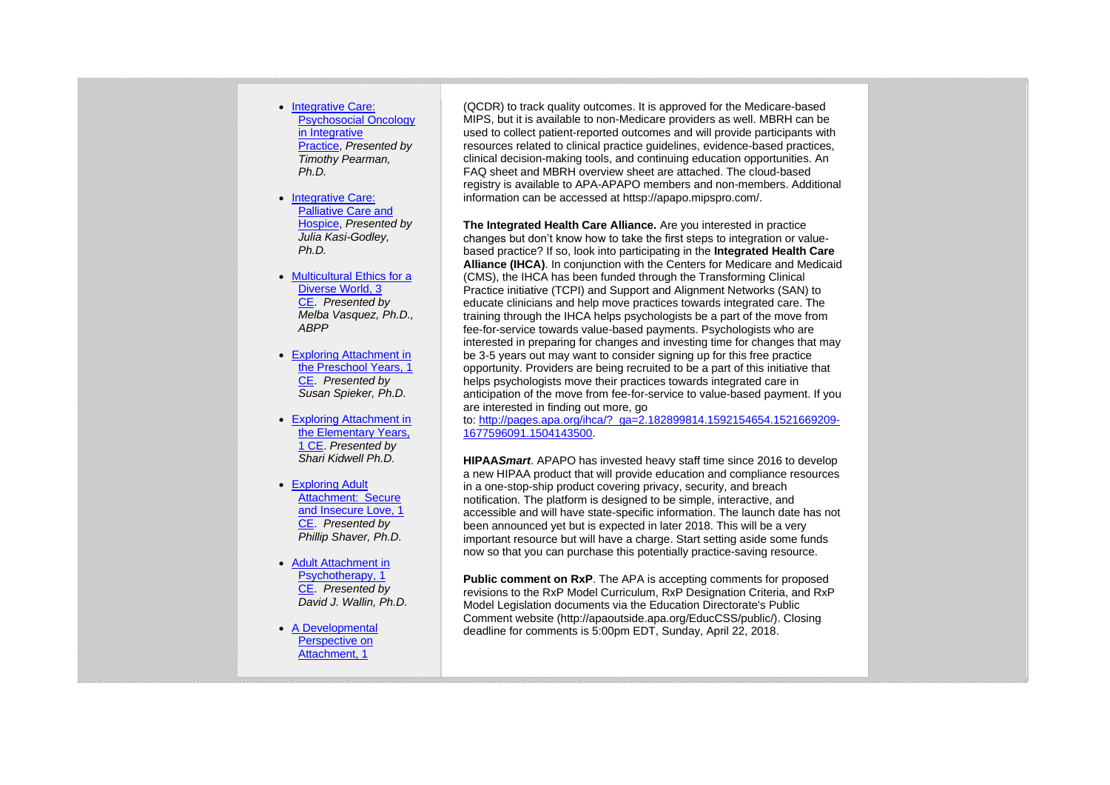- Integrative Care: [Psychosocial Oncology](https://kpa.memberclicks.net/index.php?option=com_mcform&view=ngforms&id=19733)  in Integrative [Practice,](https://kpa.memberclicks.net/index.php?option=com_mcform&view=ngforms&id=19733) *Presented by Timothy Pearman, Ph.D.*
- Integrative Care: [Palliative Care and](https://kpa.memberclicks.net/index.php?option=com_mcform&view=ngforms&id=19734)  [Hospice,](https://kpa.memberclicks.net/index.php?option=com_mcform&view=ngforms&id=19734) *Presented by Julia Kasi-Godley, Ph.D.*
- Multicultural Ethics for a [Diverse World, 3](https://kpa.memberclicks.net/index.php?option=com_mcform&view=ngforms&id=24600)  [CE.](https://kpa.memberclicks.net/index.php?option=com_mcform&view=ngforms&id=24600) *Presented by Melba Vasquez, Ph.D., ABPP*
- [Exploring Attachment in](https://kpa.memberclicks.net/index.php?option=com_mcform&view=ngforms&id=25169)  [the Preschool Years, 1](https://kpa.memberclicks.net/index.php?option=com_mcform&view=ngforms&id=25169)  [CE.](https://kpa.memberclicks.net/index.php?option=com_mcform&view=ngforms&id=25169) *Presented by Susan Spieker, Ph.D.*
- [Exploring Attachment in](https://kpa.memberclicks.net/index.php?option=com_mcform&view=ngforms&id=36086)  [the Elementary Years,](https://kpa.memberclicks.net/index.php?option=com_mcform&view=ngforms&id=36086)  [1 CE.](https://kpa.memberclicks.net/index.php?option=com_mcform&view=ngforms&id=36086) *Presented by Shari Kidwell Ph.D.*
- [Exploring Adult](https://kpa.memberclicks.net/index.php?option=com_mcform&view=ngforms&id=19498)  [Attachment: Secure](https://kpa.memberclicks.net/index.php?option=com_mcform&view=ngforms&id=19498)  [and Insecure Love, 1](https://kpa.memberclicks.net/index.php?option=com_mcform&view=ngforms&id=19498)  [CE.](https://kpa.memberclicks.net/index.php?option=com_mcform&view=ngforms&id=19498) *Presented by Phillip Shaver, Ph.D.*
- [Adult Attachment in](https://kpa.memberclicks.net/index.php?option=com_mcform&view=ngforms&id=24617)  [Psychotherapy, 1](https://kpa.memberclicks.net/index.php?option=com_mcform&view=ngforms&id=24617)  [CE.](https://kpa.memberclicks.net/index.php?option=com_mcform&view=ngforms&id=24617) *Presented by David J. Wallin, Ph.D.*
- [A Developmental](https://kpa.memberclicks.net/index.php?option=com_mcform&view=ngforms&id=26392)  [Perspective on](https://kpa.memberclicks.net/index.php?option=com_mcform&view=ngforms&id=26392)  [Attachment, 1](https://kpa.memberclicks.net/index.php?option=com_mcform&view=ngforms&id=26392)

(QCDR) to track quality outcomes. It is approved for the Medicare-based MIPS, but it is available to non-Medicare providers as well. MBRH can be used to collect patient-reported outcomes and will provide participants with resources related to clinical practice guidelines, evidence-based practices, clinical decision-making tools, and continuing education opportunities. An FAQ sheet and MBRH overview sheet are attached. The cloud-based registry is available to APA-APAPO members and non-members. Additional information can be accessed at httsp://apapo.mipspro.com/.

**The Integrated Health Care Alliance.** Are you interested in practice changes but don't know how to take the first steps to integration or valuebased practice? If so, look into participating in the **Integrated Health Care Alliance (IHCA)**. In conjunction with the Centers for Medicare and Medicaid (CMS), the IHCA has been funded through the Transforming Clinical Practice initiative (TCPI) and Support and Alignment Networks (SAN) to educate clinicians and help move practices towards integrated care. The training through the IHCA helps psychologists be a part of the move from fee-for-service towards value-based payments. Psychologists who are interested in preparing for changes and investing time for changes that may be 3-5 years out may want to consider signing up for this free practice opportunity. Providers are being recruited to be a part of this initiative that helps psychologists move their practices towards integrated care in anticipation of the move from fee-for-service to value-based payment. If you are interested in finding out more, go

to: [http://pages.apa.org/ihca/?\\_ga=2.182899814.1592154654.1521669209-](http://pages.apa.org/ihca/?_ga=2.182899814.1592154654.1521669209-1677596091.1504143500) [1677596091.1504143500.](http://pages.apa.org/ihca/?_ga=2.182899814.1592154654.1521669209-1677596091.1504143500)

**HIPAA***Smart*. APAPO has invested heavy staff time since 2016 to develop a new HIPAA product that will provide education and compliance resources in a one-stop-ship product covering privacy, security, and breach notification. The platform is designed to be simple, interactive, and accessible and will have state-specific information. The launch date has not been announced yet but is expected in later 2018. This will be a very important resource but will have a charge. Start setting aside some funds now so that you can purchase this potentially practice-saving resource.

**Public comment on RxP.** The APA is accepting comments for proposed revisions to the RxP Model Curriculum, RxP Designation Criteria, and RxP Model Legislation documents via the Education Directorate's Public Comment website (http://apaoutside.apa.org/EducCSS/public/). Closing deadline for comments is 5:00pm EDT, Sunday, April 22, 2018.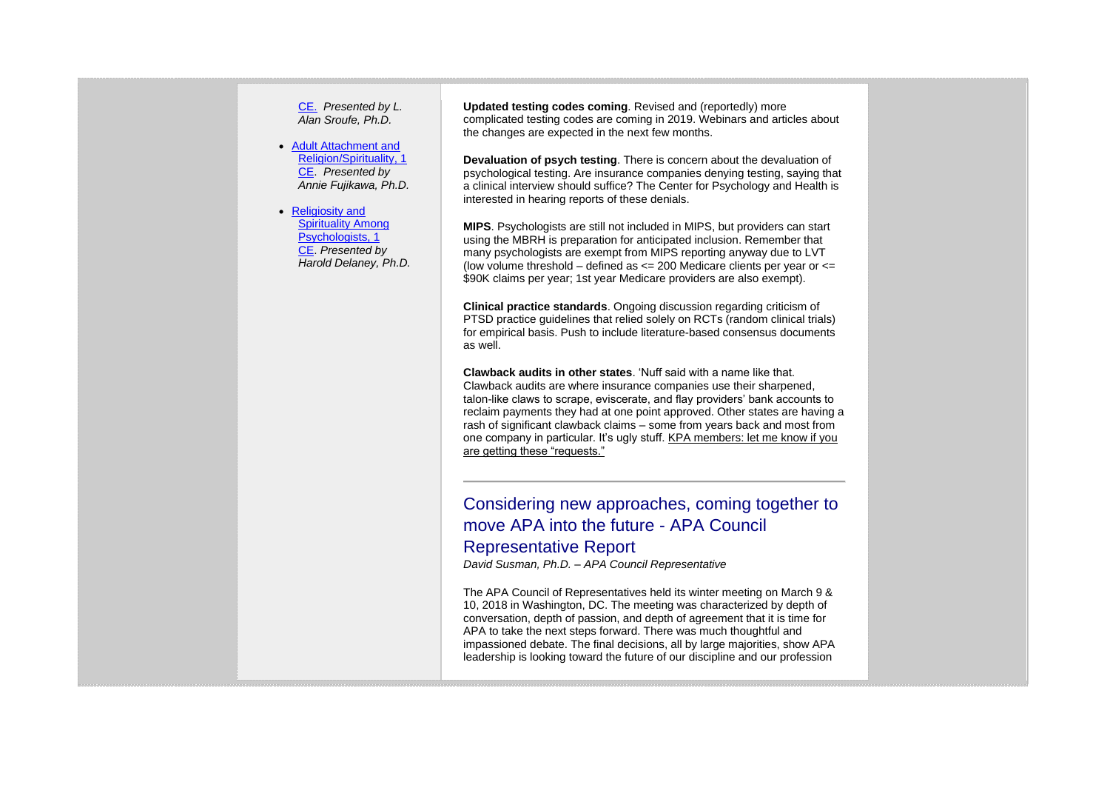[CE.](https://kpa.memberclicks.net/index.php?option=com_mcform&view=ngforms&id=26392) *Presented by L. Alan Sroufe, Ph.D.*

- [Adult Attachment and](https://kpa.memberclicks.net/index.php?option=com_mcform&view=ngforms&id=24637)  [Religion/Spirituality, 1](https://kpa.memberclicks.net/index.php?option=com_mcform&view=ngforms&id=24637)  [CE.](https://kpa.memberclicks.net/index.php?option=com_mcform&view=ngforms&id=24637) *Presented by Annie Fujikawa, Ph.D.*
- Religiosity and [Spirituality Among](https://kpa.memberclicks.net/index.php?option=com_mcform&view=ngforms&id=27389)  [Psychologists, 1](https://kpa.memberclicks.net/index.php?option=com_mcform&view=ngforms&id=27389)  [CE.](https://kpa.memberclicks.net/index.php?option=com_mcform&view=ngforms&id=27389) *Presented by Harold Delaney, Ph.D.*

**Updated testing codes coming**. Revised and (reportedly) more complicated testing codes are coming in 2019. Webinars and articles about the changes are expected in the next few months.

**Devaluation of psych testing**. There is concern about the devaluation of psychological testing. Are insurance companies denying testing, saying that a clinical interview should suffice? The Center for Psychology and Health is interested in hearing reports of these denials.

**MIPS**. Psychologists are still not included in MIPS, but providers can start using the MBRH is preparation for anticipated inclusion. Remember that many psychologists are exempt from MIPS reporting anyway due to LVT (low volume threshold – defined as  $\leq$  200 Medicare clients per year or  $\leq$ \$90K claims per year; 1st year Medicare providers are also exempt).

**Clinical practice standards**. Ongoing discussion regarding criticism of PTSD practice guidelines that relied solely on RCTs (random clinical trials) for empirical basis. Push to include literature-based consensus documents as well.

**Clawback audits in other states**. 'Nuff said with a name like that. Clawback audits are where insurance companies use their sharpened, talon-like claws to scrape, eviscerate, and flay providers' bank accounts to reclaim payments they had at one point approved. Other states are having a rash of significant clawback claims – some from years back and most from one company in particular. It's ugly stuff. KPA members: let me know if you are getting these "requests."

Considering new approaches, coming together to move APA into the future - APA Council Representative Report

*David Susman, Ph.D. – APA Council Representative*

The APA Council of Representatives held its winter meeting on March 9 & 10, 2018 in Washington, DC. The meeting was characterized by depth of conversation, depth of passion, and depth of agreement that it is time for APA to take the next steps forward. There was much thoughtful and impassioned debate. The final decisions, all by large majorities, show APA leadership is looking toward the future of our discipline and our profession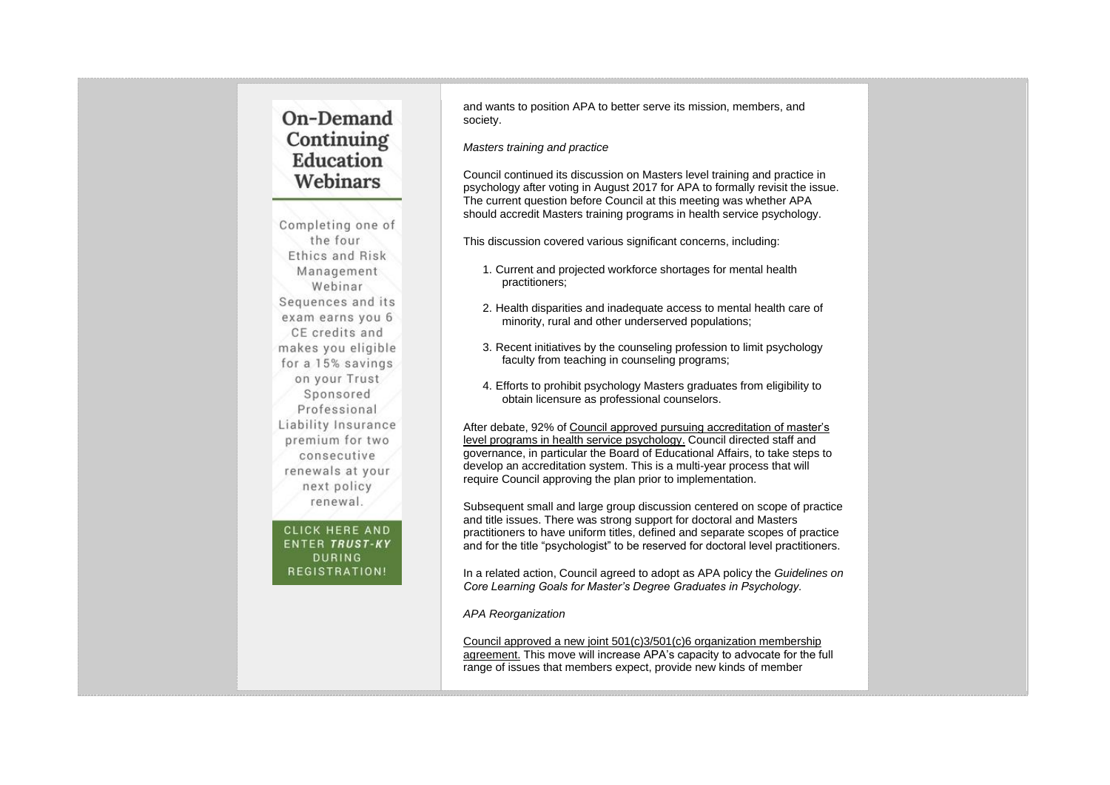# On-Demand Continuing Education Webinars

Completing one of the four Ethics and Risk Management Webinar Sequences and its exam earns you 6 CE credits and makes you eligible for a 15% savings on your Trust Sponsored Professional Liability Insurance premium for two consecutive renewals at your next policy renewal.

**CLICK HERE AND** ENTER TRUST-KY **DURING** REGISTRATION!

and wants to position APA to better serve its mission, members, and society.

*Masters training and practice*

Council continued its discussion on Masters level training and practice in psychology after voting in August 2017 for APA to formally revisit the issue. The current question before Council at this meeting was whether APA should accredit Masters training programs in health service psychology.

This discussion covered various significant concerns, including:

- 1. Current and projected workforce shortages for mental health practitioners;
- 2. Health disparities and inadequate access to mental health care of minority, rural and other underserved populations;
- 3. Recent initiatives by the counseling profession to limit psychology faculty from teaching in counseling programs;
- 4. Efforts to prohibit psychology Masters graduates from eligibility to obtain licensure as professional counselors.

After debate, 92% of Council approved pursuing accreditation of master's level programs in health service psychology. Council directed staff and governance, in particular the Board of Educational Affairs, to take steps to develop an accreditation system. This is a multi-year process that will require Council approving the plan prior to implementation.

Subsequent small and large group discussion centered on scope of practice and title issues. There was strong support for doctoral and Masters practitioners to have uniform titles, defined and separate scopes of practice and for the title "psychologist" to be reserved for doctoral level practitioners.

In a related action, Council agreed to adopt as APA policy the *Guidelines on Core Learning Goals for Master's Degree Graduates in Psychology.*

*APA Reorganization*

Council approved a new joint 501(c)3/501(c)6 organization membership agreement. This move will increase APA's capacity to advocate for the full range of issues that members expect, provide new kinds of member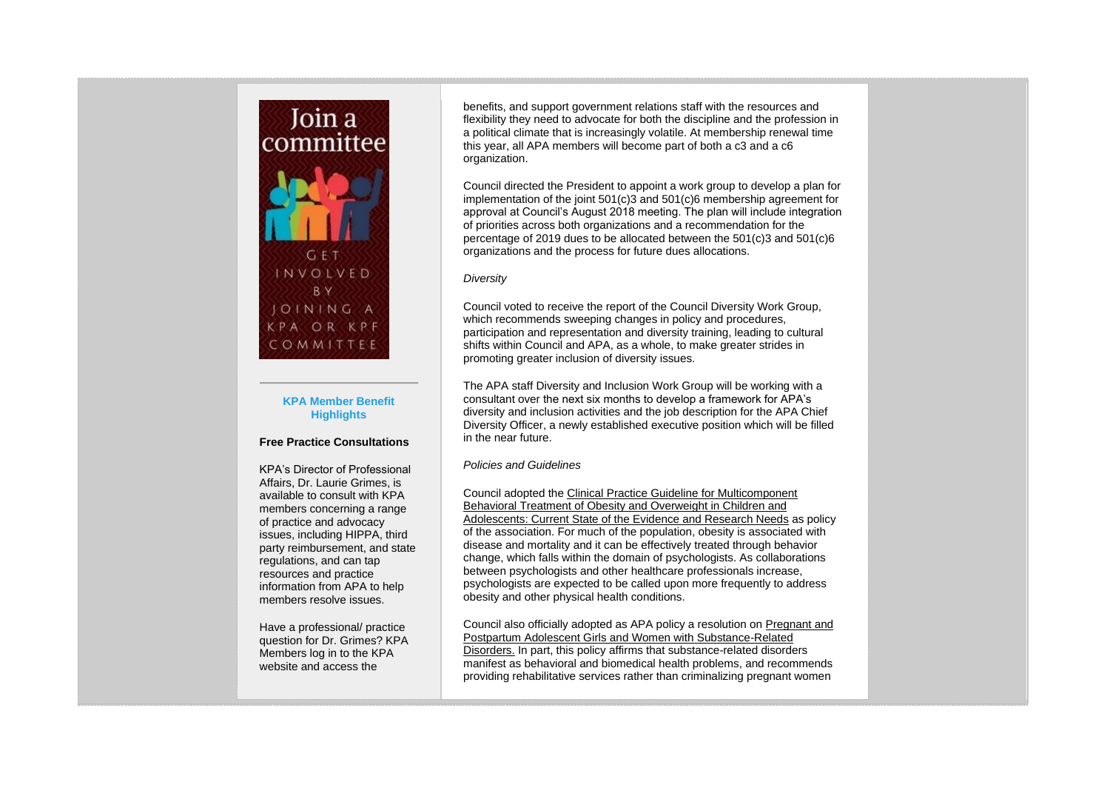

## **KPA Member Benefit Highlights**

## **Free Practice Consultations**

KPA's Director of Professional Affairs, Dr. Laurie Grimes, is available to consult with KPA members concerning a range of practice and advocacy issues, including HIPPA, third party reimbursement, and state regulations, and can tap resources and practice information from APA to help members resolve issues.

Have a professional/ practice question for Dr. Grimes? KPA Members log in to the KPA website and access the

benefits, and support government relations staff with the resources and flexibility they need to advocate for both the discipline and the profession in a political climate that is increasingly volatile. At membership renewal time this year, all APA members will become part of both a c3 and a c6 organization.

Council directed the President to appoint a work group to develop a plan for implementation of the joint 501(c)3 and 501(c)6 membership agreement for approval at Council's August 2018 meeting. The plan will include integration of priorities across both organizations and a recommendation for the percentage of 2019 dues to be allocated between the 501(c)3 and 501(c)6 organizations and the process for future dues allocations.

## *Diversity*

Council voted to receive the report of the Council Diversity Work Group, which recommends sweeping changes in policy and procedures, participation and representation and diversity training, leading to cultural shifts within Council and APA, as a whole, to make greater strides in promoting greater inclusion of diversity issues.

The APA staff Diversity and Inclusion Work Group will be working with a consultant over the next six months to develop a framework for APA's diversity and inclusion activities and the job description for the APA Chief Diversity Officer, a newly established executive position which will be filled in the near future.

## *Policies and Guidelines*

Council adopted the Clinical Practice Guideline for Multicomponent Behavioral Treatment of Obesity and Overweight in Children and Adolescents: Current State of the Evidence and Research Needs as policy of the association. For much of the population, obesity is associated with disease and mortality and it can be effectively treated through behavior change, which falls within the domain of psychologists. As collaborations between psychologists and other healthcare professionals increase, psychologists are expected to be called upon more frequently to address obesity and other physical health conditions.

Council also officially adopted as APA policy a resolution on Pregnant and Postpartum Adolescent Girls and Women with Substance-Related Disorders. In part, this policy affirms that substance-related disorders manifest as behavioral and biomedical health problems, and recommends providing rehabilitative services rather than criminalizing pregnant women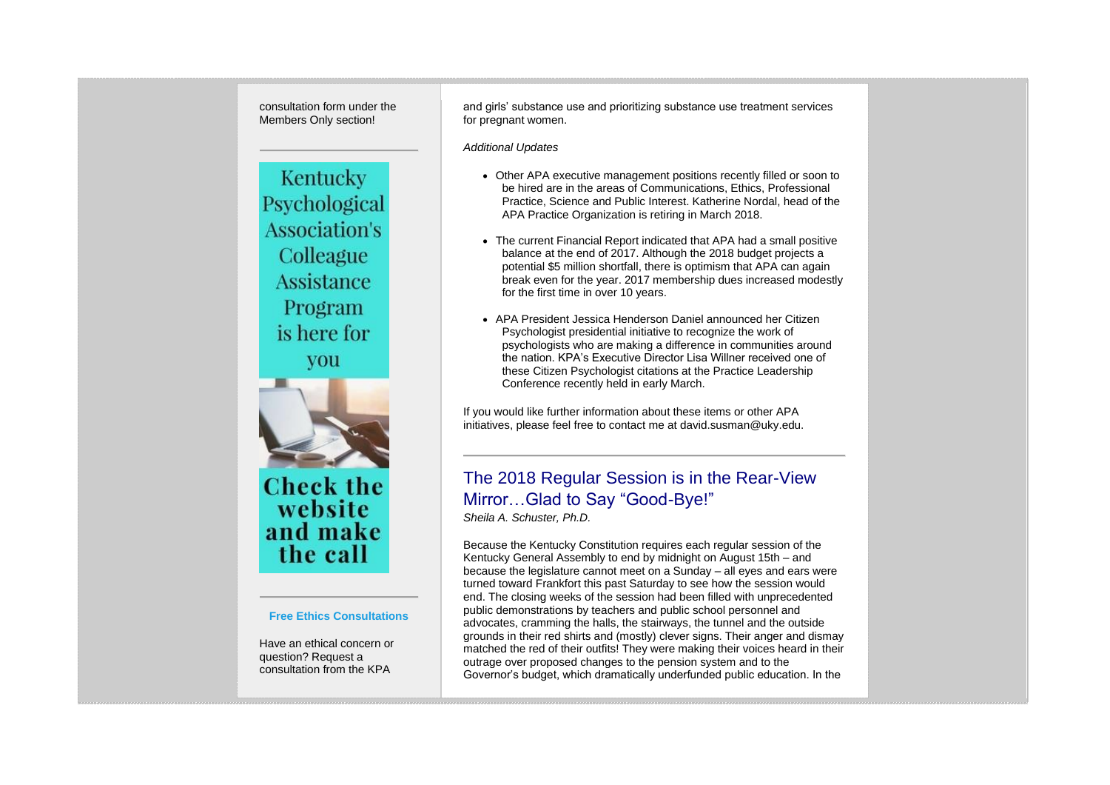Kentucky Psychological **Association's** Colleague **Assistance** Program is here for you

consultation form under the Members Only section!



**Check the** website and make the call

#### **Free Ethics Consultations**

Have an ethical concern or question? Request a consultation from the KPA

and girls' substance use and prioritizing substance use treatment services for pregnant women.

*Additional Updates*

- Other APA executive management positions recently filled or soon to be hired are in the areas of Communications, Ethics, Professional Practice, Science and Public Interest. Katherine Nordal, head of the APA Practice Organization is retiring in March 2018.
- The current Financial Report indicated that APA had a small positive balance at the end of 2017. Although the 2018 budget projects a potential \$5 million shortfall, there is optimism that APA can again break even for the year. 2017 membership dues increased modestly for the first time in over 10 years.
- APA President Jessica Henderson Daniel announced her Citizen Psychologist presidential initiative to recognize the work of psychologists who are making a difference in communities around the nation. KPA's Executive Director Lisa Willner received one of these Citizen Psychologist citations at the Practice Leadership Conference recently held in early March.

If you would like further information about these items or other APA initiatives, please feel free to contact me at david.susman@uky.edu.

# The 2018 Regular Session is in the Rear-View Mirror…Glad to Say "Good-Bye!"

*Sheila A. Schuster, Ph.D.*

Because the Kentucky Constitution requires each regular session of the Kentucky General Assembly to end by midnight on August 15th – and because the legislature cannot meet on a Sunday – all eyes and ears were turned toward Frankfort this past Saturday to see how the session would end. The closing weeks of the session had been filled with unprecedented public demonstrations by teachers and public school personnel and advocates, cramming the halls, the stairways, the tunnel and the outside grounds in their red shirts and (mostly) clever signs. Their anger and dismay matched the red of their outfits! They were making their voices heard in their outrage over proposed changes to the pension system and to the Governor's budget, which dramatically underfunded public education. In the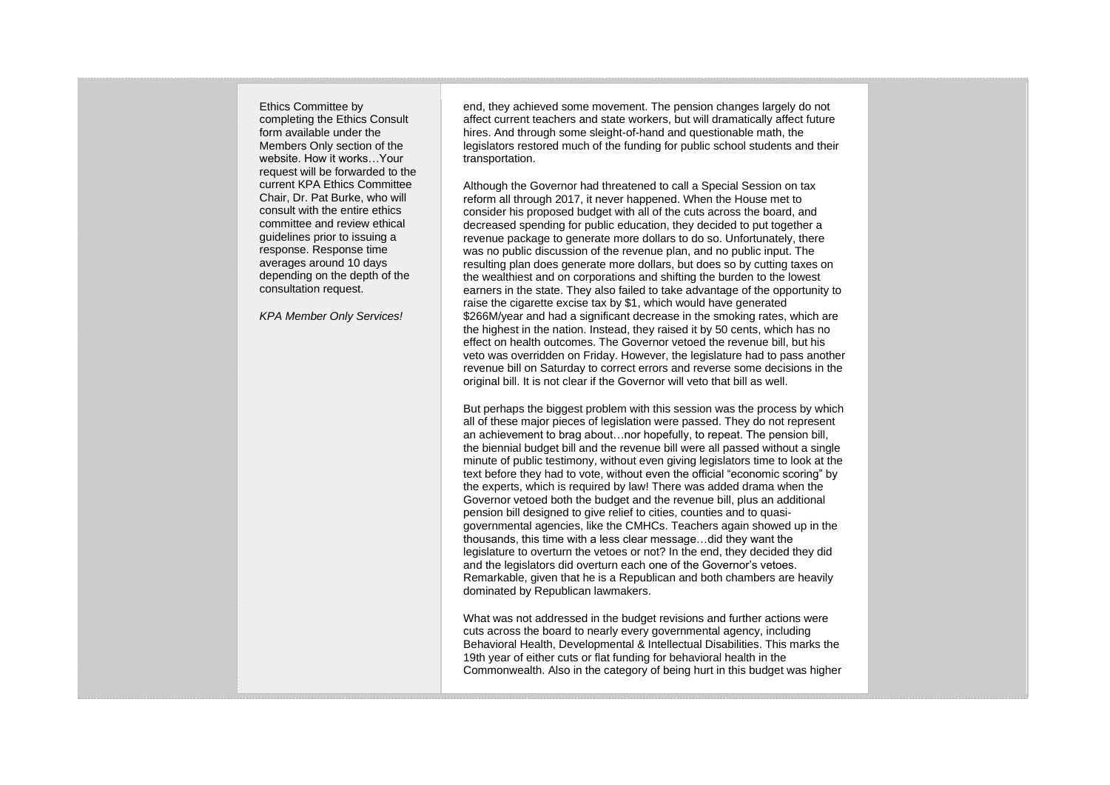Ethics Committee by completing the Ethics Consult form available under the Members Only section of the website. How it works…Your request will be forwarded to the current KPA Ethics Committee Chair, Dr. Pat Burke, who will consult with the entire ethics committee and review ethical guidelines prior to issuing a response. Response time averages around 10 days depending on the depth of the consultation request.

*KPA Member Only Services!*

end, they achieved some movement. The pension changes largely do not affect current teachers and state workers, but will dramatically affect future hires. And through some sleight-of-hand and questionable math, the legislators restored much of the funding for public school students and their transportation.

Although the Governor had threatened to call a Special Session on tax reform all through 2017, it never happened. When the House met to consider his proposed budget with all of the cuts across the board, and decreased spending for public education, they decided to put together a revenue package to generate more dollars to do so. Unfortunately, there was no public discussion of the revenue plan, and no public input. The resulting plan does generate more dollars, but does so by cutting taxes on the wealthiest and on corporations and shifting the burden to the lowest earners in the state. They also failed to take advantage of the opportunity to raise the cigarette excise tax by \$1, which would have generated \$266M/year and had a significant decrease in the smoking rates, which are the highest in the nation. Instead, they raised it by 50 cents, which has no effect on health outcomes. The Governor vetoed the revenue bill, but his veto was overridden on Friday. However, the legislature had to pass another revenue bill on Saturday to correct errors and reverse some decisions in the original bill. It is not clear if the Governor will veto that bill as well.

But perhaps the biggest problem with this session was the process by which all of these major pieces of legislation were passed. They do not represent an achievement to brag about…nor hopefully, to repeat. The pension bill, the biennial budget bill and the revenue bill were all passed without a single minute of public testimony, without even giving legislators time to look at the text before they had to vote, without even the official "economic scoring" by the experts, which is required by law! There was added drama when the Governor vetoed both the budget and the revenue bill, plus an additional pension bill designed to give relief to cities, counties and to quasigovernmental agencies, like the CMHCs. Teachers again showed up in the thousands, this time with a less clear message…did they want the legislature to overturn the vetoes or not? In the end, they decided they did and the legislators did overturn each one of the Governor's vetoes. Remarkable, given that he is a Republican and both chambers are heavily dominated by Republican lawmakers.

What was not addressed in the budget revisions and further actions were cuts across the board to nearly every governmental agency, including Behavioral Health, Developmental & Intellectual Disabilities. This marks the 19th year of either cuts or flat funding for behavioral health in the Commonwealth. Also in the category of being hurt in this budget was higher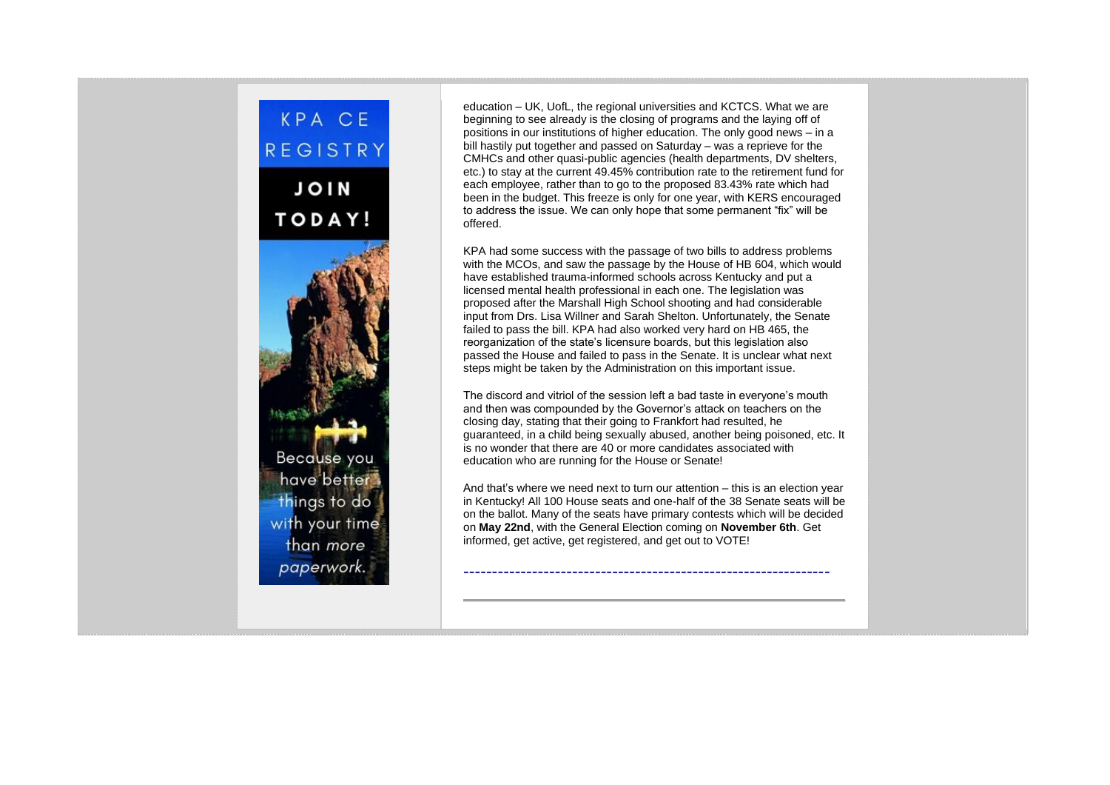

education – UK, UofL, the regional universities and KCTCS. What we are beginning to see already is the closing of programs and the laying off of positions in our institutions of higher education. The only good news – in a bill hastily put together and passed on Saturday – was a reprieve for the CMHCs and other quasi-public agencies (health departments, DV shelters, etc.) to stay at the current 49.45% contribution rate to the retirement fund for each employee, rather than to go to the proposed 83.43% rate which had been in the budget. This freeze is only for one year, with KERS encouraged to address the issue. We can only hope that some permanent "fix" will be offered.

KPA had some success with the passage of two bills to address problems with the MCOs, and saw the passage by the House of HB 604, which would have established trauma-informed schools across Kentucky and put a licensed mental health professional in each one. The legislation was proposed after the Marshall High School shooting and had considerable input from Drs. Lisa Willner and Sarah Shelton. Unfortunately, the Senate failed to pass the bill. KPA had also worked very hard on HB 465, the reorganization of the state's licensure boards, but this legislation also passed the House and failed to pass in the Senate. It is unclear what next steps might be taken by the Administration on this important issue.

The discord and vitriol of the session left a bad taste in everyone's mouth and then was compounded by the Governor's attack on teachers on the closing day, stating that their going to Frankfort had resulted, he guaranteed, in a child being sexually abused, another being poisoned, etc. It is no wonder that there are 40 or more candidates associated with education who are running for the House or Senate!

And that's where we need next to turn our attention – this is an election year in Kentucky! All 100 House seats and one-half of the 38 Senate seats will be on the ballot. Many of the seats have primary contests which will be decided on **May 22nd**, with the General Election coming on **November 6th**. Get informed, get active, get registered, and get out to VOTE!

----------------------------------------------------------------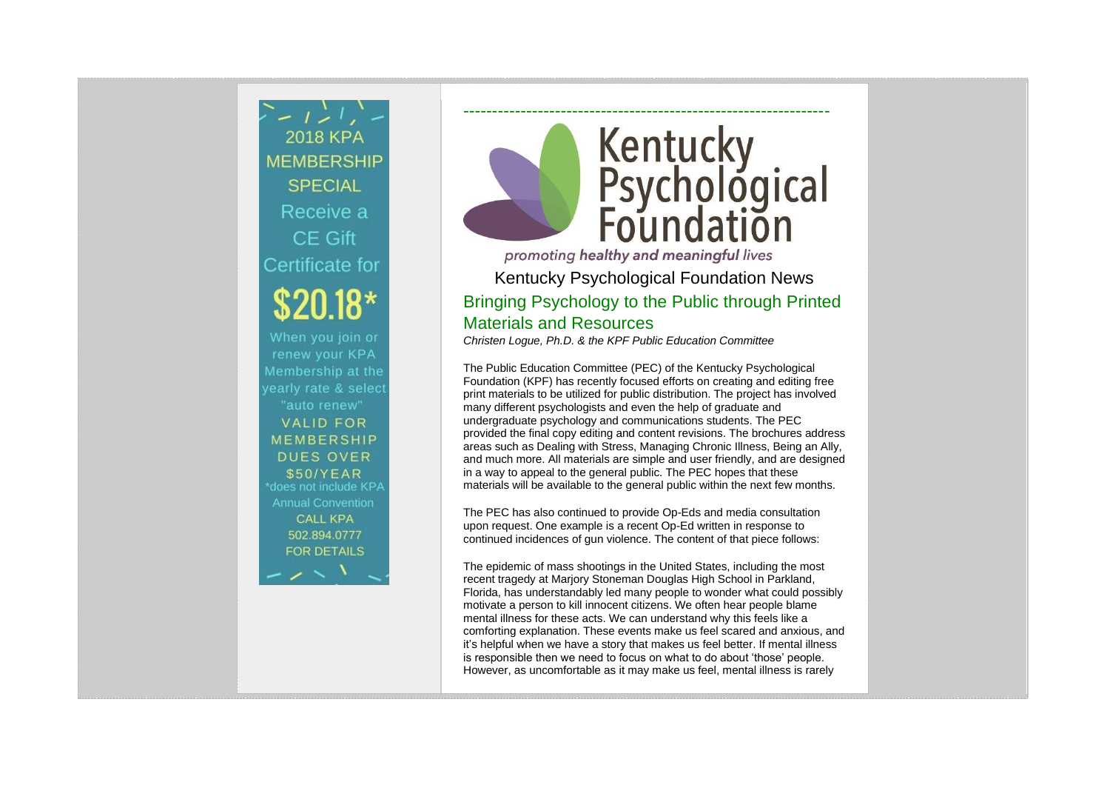$\sum -1 > 1$ **2018 KPA MEMBERSHIP SPECIAL** Receive a CE Gift Certificate for When you join or renew your KPA Membership at the yearly rate & select "auto renew" **VALID FOR MEMBERSHIP DUES OVER** \$50/YEAR \*does not include KPA **Annual Convention CALL KPA** 502.894.0777 **FOR DETAILS** 

# ---------------------------------------------------------------- Kentucky<br>Psychological<br>Foundation

promoting healthy and meaningful lives Kentucky Psychological Foundation News Bringing Psychology to the Public through Printed Materials and Resources *Christen Logue, Ph.D. & the KPF Public Education Committee*

The Public Education Committee (PEC) of the Kentucky Psychological Foundation (KPF) has recently focused efforts on creating and editing free print materials to be utilized for public distribution. The project has involved many different psychologists and even the help of graduate and undergraduate psychology and communications students. The PEC provided the final copy editing and content revisions. The brochures address areas such as Dealing with Stress, Managing Chronic Illness, Being an Ally, and much more. All materials are simple and user friendly, and are designed in a way to appeal to the general public. The PEC hopes that these materials will be available to the general public within the next few months.

The PEC has also continued to provide Op-Eds and media consultation upon request. One example is a recent Op-Ed written in response to continued incidences of gun violence. The content of that piece follows:

The epidemic of mass shootings in the United States, including the most recent tragedy at Marjory Stoneman Douglas High School in Parkland, Florida, has understandably led many people to wonder what could possibly motivate a person to kill innocent citizens. We often hear people blame mental illness for these acts. We can understand why this feels like a comforting explanation. These events make us feel scared and anxious, and it's helpful when we have a story that makes us feel better. If mental illness is responsible then we need to focus on what to do about 'those' people. However, as uncomfortable as it may make us feel, mental illness is rarely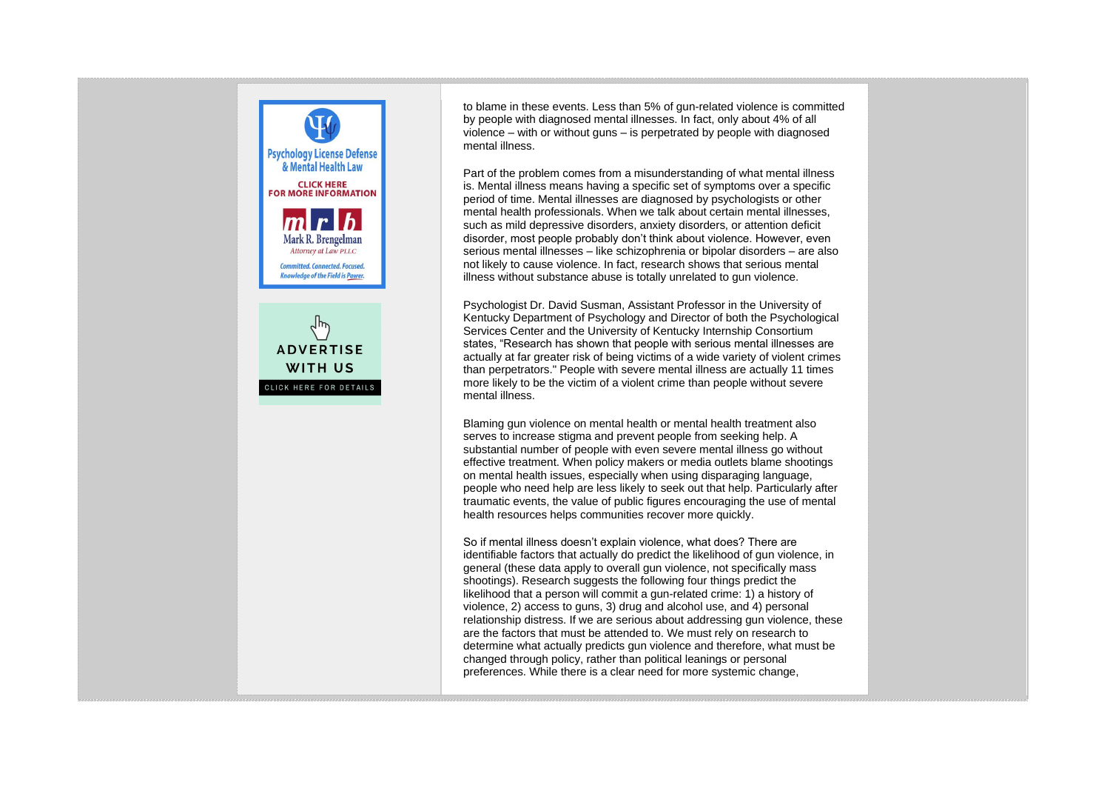

to blame in these events. Less than 5% of gun-related violence is committed by people with diagnosed mental illnesses. In fact, only about 4% of all violence – with or without guns – is perpetrated by people with diagnosed mental illness.

Part of the problem comes from a misunderstanding of what mental illness is. Mental illness means having a specific set of symptoms over a specific period of time. Mental illnesses are diagnosed by psychologists or other mental health professionals. When we talk about certain mental illnesses, such as mild depressive disorders, anxiety disorders, or attention deficit disorder, most people probably don't think about violence. However, even serious mental illnesses – like schizophrenia or bipolar disorders – are also not likely to cause violence. In fact, research shows that serious mental illness without substance abuse is totally unrelated to gun violence.

Psychologist Dr. David Susman, Assistant Professor in the University of Kentucky Department of Psychology and Director of both the Psychological Services Center and the University of Kentucky Internship Consortium states, "Research has shown that people with serious mental illnesses are actually at far greater risk of being victims of a wide variety of violent crimes than perpetrators." People with severe mental illness are actually 11 times more likely to be the victim of a violent crime than people without severe mental illness.

Blaming gun violence on mental health or mental health treatment also serves to increase stigma and prevent people from seeking help. A substantial number of people with even severe mental illness go without effective treatment. When policy makers or media outlets blame shootings on mental health issues, especially when using disparaging language, people who need help are less likely to seek out that help. Particularly after traumatic events, the value of public figures encouraging the use of mental health resources helps communities recover more quickly.

So if mental illness doesn't explain violence, what does? There are identifiable factors that actually do predict the likelihood of gun violence, in general (these data apply to overall gun violence, not specifically mass shootings). Research suggests the following four things predict the likelihood that a person will commit a gun-related crime: 1) a history of violence, 2) access to guns, 3) drug and alcohol use, and 4) personal relationship distress. If we are serious about addressing gun violence, these are the factors that must be attended to. We must rely on research to determine what actually predicts gun violence and therefore, what must be changed through policy, rather than political leanings or personal preferences. While there is a clear need for more systemic change,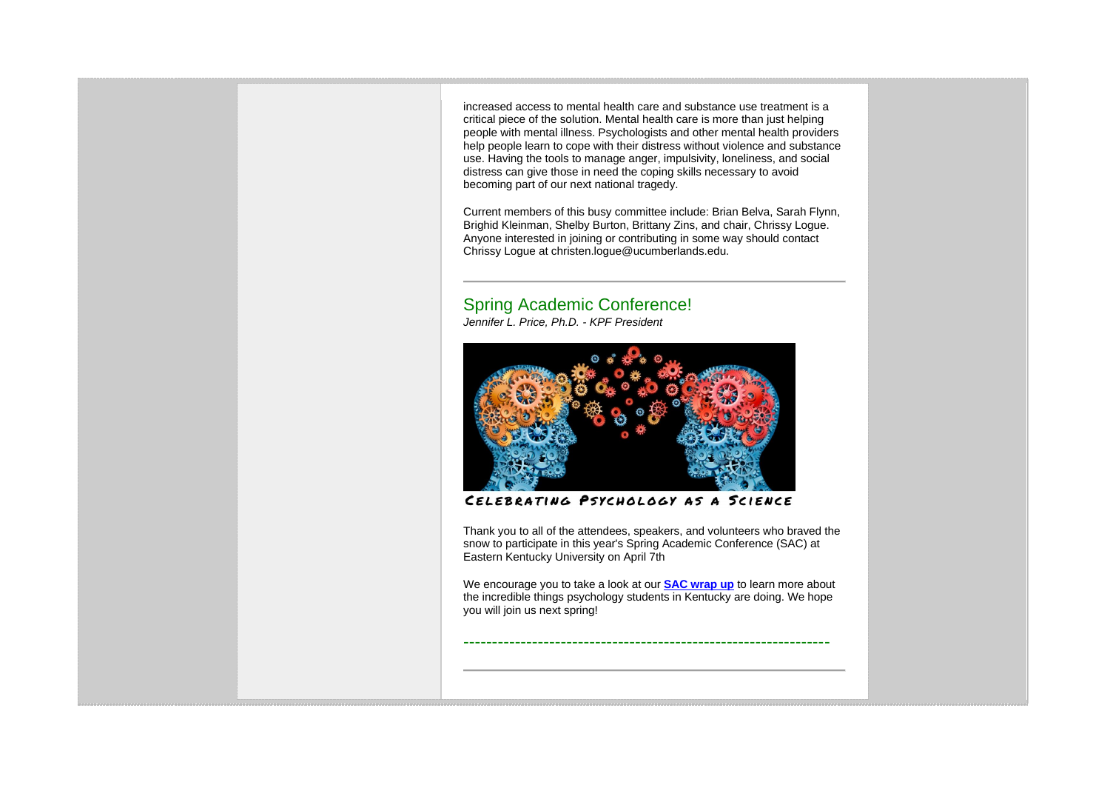increased access to mental health care and substance use treatment is a critical piece of the solution. Mental health care is more than just helping people with mental illness. Psychologists and other mental health providers help people learn to cope with their distress without violence and substance use. Having the tools to manage anger, impulsivity, loneliness, and social distress can give those in need the coping skills necessary to avoid becoming part of our next national tragedy.

Current members of this busy committee include: Brian Belva, Sarah Flynn, Brighid Kleinman, Shelby Burton, Brittany Zins, and chair, Chrissy Logue. Anyone interested in joining or contributing in some way should contact Chrissy Logue at christen.logue@ucumberlands.edu.

## Spring Academic Conference!

*Jennifer L. Price, Ph.D. - KPF President*



CELEBRATING PSYCHOLOGY AS A SCIENCE

Thank you to all of the attendees, speakers, and volunteers who braved the snow to participate in this year's Spring Academic Conference (SAC) at Eastern Kentucky University on April 7th

We encourage you to take a look at our **[SAC wrap up](https://kpa.memberclicks.net/assets/SAC/2018/2018%20SAC%20Wrap-Up.pdf)** to learn more about the incredible things psychology students in Kentucky are doing. We hope you will join us next spring!

----------------------------------------------------------------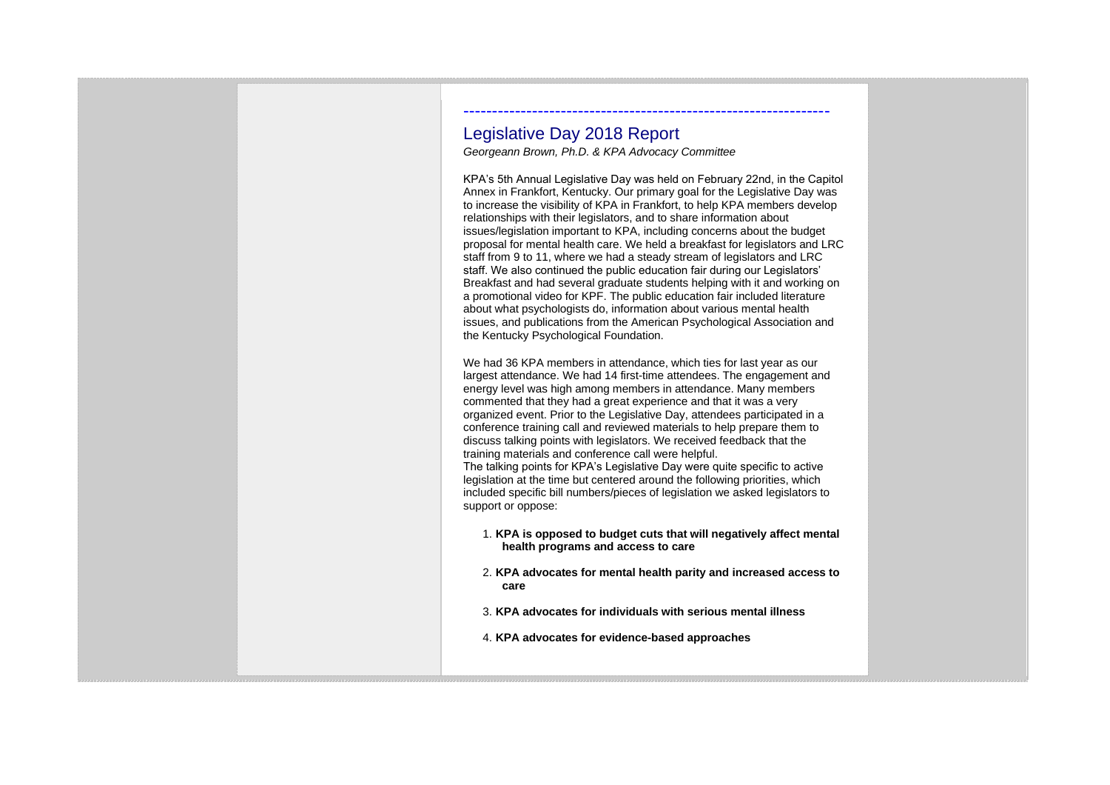## Legislative Day 2018 Report

*Georgeann Brown, Ph.D. & KPA Advocacy Committee*

KPA's 5th Annual Legislative Day was held on February 22nd, in the Capitol Annex in Frankfort, Kentucky. Our primary goal for the Legislative Day was to increase the visibility of KPA in Frankfort, to help KPA members develop relationships with their legislators, and to share information about issues/legislation important to KPA, including concerns about the budget proposal for mental health care. We held a breakfast for legislators and LRC staff from 9 to 11, where we had a steady stream of legislators and LRC staff. We also continued the public education fair during our Legislators' Breakfast and had several graduate students helping with it and working on a promotional video for KPF. The public education fair included literature about what psychologists do, information about various mental health issues, and publications from the American Psychological Association and the Kentucky Psychological Foundation.

----------------------------------------------------------------

We had 36 KPA members in attendance, which ties for last year as our largest attendance. We had 14 first-time attendees. The engagement and energy level was high among members in attendance. Many members commented that they had a great experience and that it was a very organized event. Prior to the Legislative Day, attendees participated in a conference training call and reviewed materials to help prepare them to discuss talking points with legislators. We received feedback that the training materials and conference call were helpful. The talking points for KPA's Legislative Day were quite specific to active legislation at the time but centered around the following priorities, which included specific bill numbers/pieces of legislation we asked legislators to support or oppose:

- 1. **KPA is opposed to budget cuts that will negatively affect mental health programs and access to care**
- 2. **KPA advocates for mental health parity and increased access to care**
- 3. **KPA advocates for individuals with serious mental illness**
- 4. **KPA advocates for evidence-based approaches**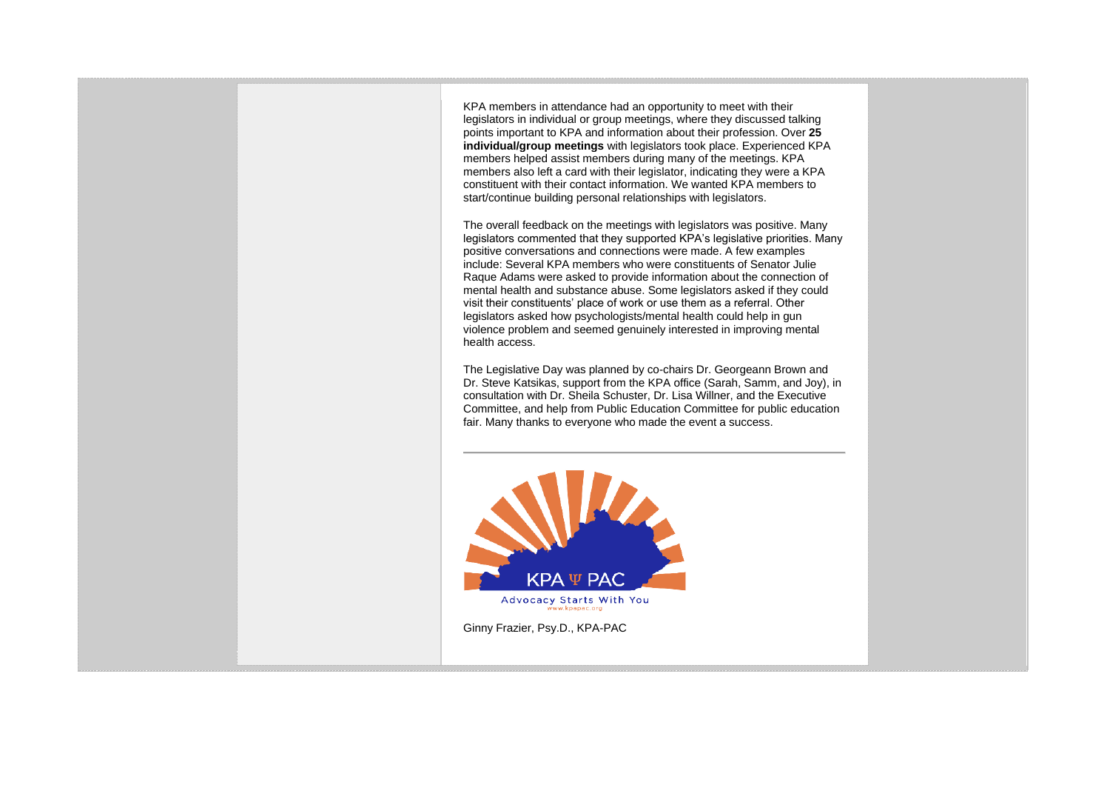KPA members in attendance had an opportunity to meet with their legislators in individual or group meetings, where they discussed talking points important to KPA and information about their profession. Over **25 individual/group meetings** with legislators took place. Experienced KPA members helped assist members during many of the meetings. KPA members also left a card with their legislator, indicating they were a KPA constituent with their contact information. We wanted KPA members to start/continue building personal relationships with legislators.

The overall feedback on the meetings with legislators was positive. Many legislators commented that they supported KPA's legislative priorities. Many positive conversations and connections were made. A few examples include: Several KPA members who were constituents of Senator Julie Raque Adams were asked to provide information about the connection of mental health and substance abuse. Some legislators asked if they could visit their constituents' place of work or use them as a referral. Other legislators asked how psychologists/mental health could help in gun violence problem and seemed genuinely interested in improving mental health access.

The Legislative Day was planned by co-chairs Dr. Georgeann Brown and Dr. Steve Katsikas, support from the KPA office (Sarah, Samm, and Joy), in consultation with Dr. Sheila Schuster, Dr. Lisa Willner, and the Executive Committee, and help from Public Education Committee for public education fair. Many thanks to everyone who made the event a success.



Ginny Frazier, Psy.D., KPA-PAC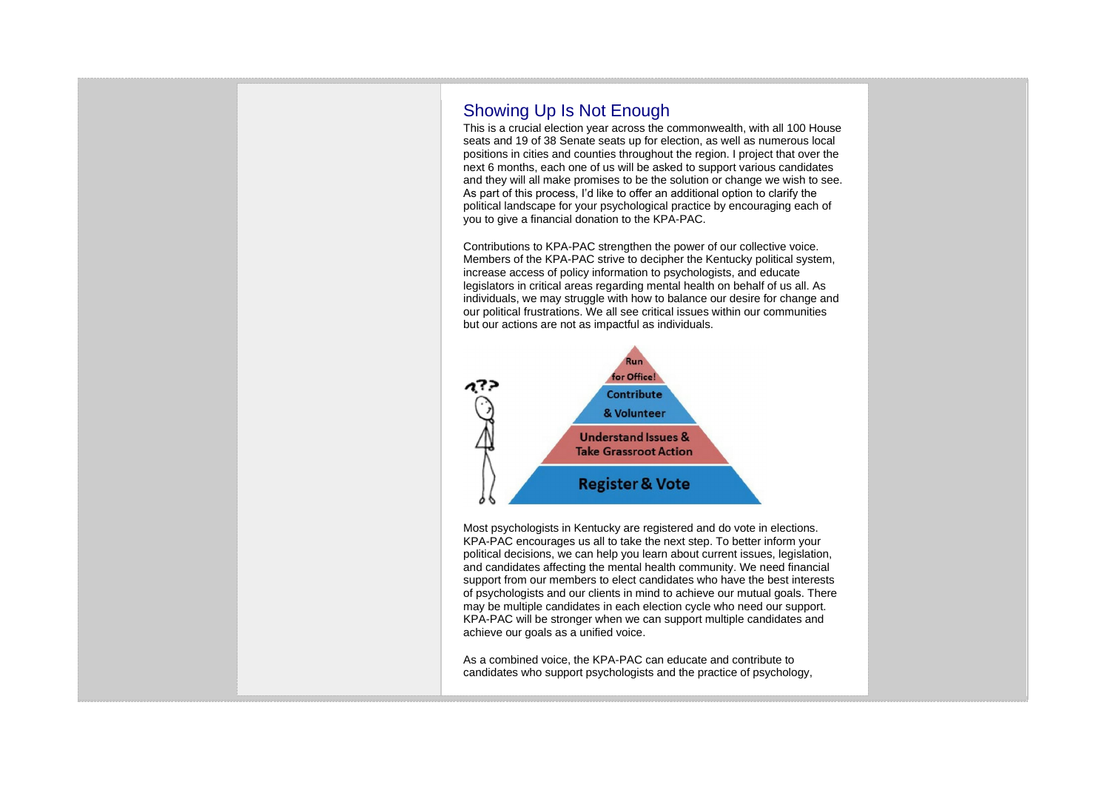## Showing Up Is Not Enough

This is a crucial election year across the commonwealth, with all 100 House seats and 19 of 38 Senate seats up for election, as well as numerous local positions in cities and counties throughout the region. I project that over the next 6 months, each one of us will be asked to support various candidates and they will all make promises to be the solution or change we wish to see. As part of this process, I'd like to offer an additional option to clarify the political landscape for your psychological practice by encouraging each of you to give a financial donation to the KPA-PAC.

Contributions to KPA-PAC strengthen the power of our collective voice. Members of the KPA-PAC strive to decipher the Kentucky political system, increase access of policy information to psychologists, and educate legislators in critical areas regarding mental health on behalf of us all. As individuals, we may struggle with how to balance our desire for change and our political frustrations. We all see critical issues within our communities but our actions are not as impactful as individuals.



Most psychologists in Kentucky are registered and do vote in elections. KPA-PAC encourages us all to take the next step. To better inform your political decisions, we can help you learn about current issues, legislation, and candidates affecting the mental health community. We need financial support from our members to elect candidates who have the best interests of psychologists and our clients in mind to achieve our mutual goals. There may be multiple candidates in each election cycle who need our support. KPA-PAC will be stronger when we can support multiple candidates and achieve our goals as a unified voice.

As a combined voice, the KPA-PAC can educate and contribute to candidates who support psychologists and the practice of psychology,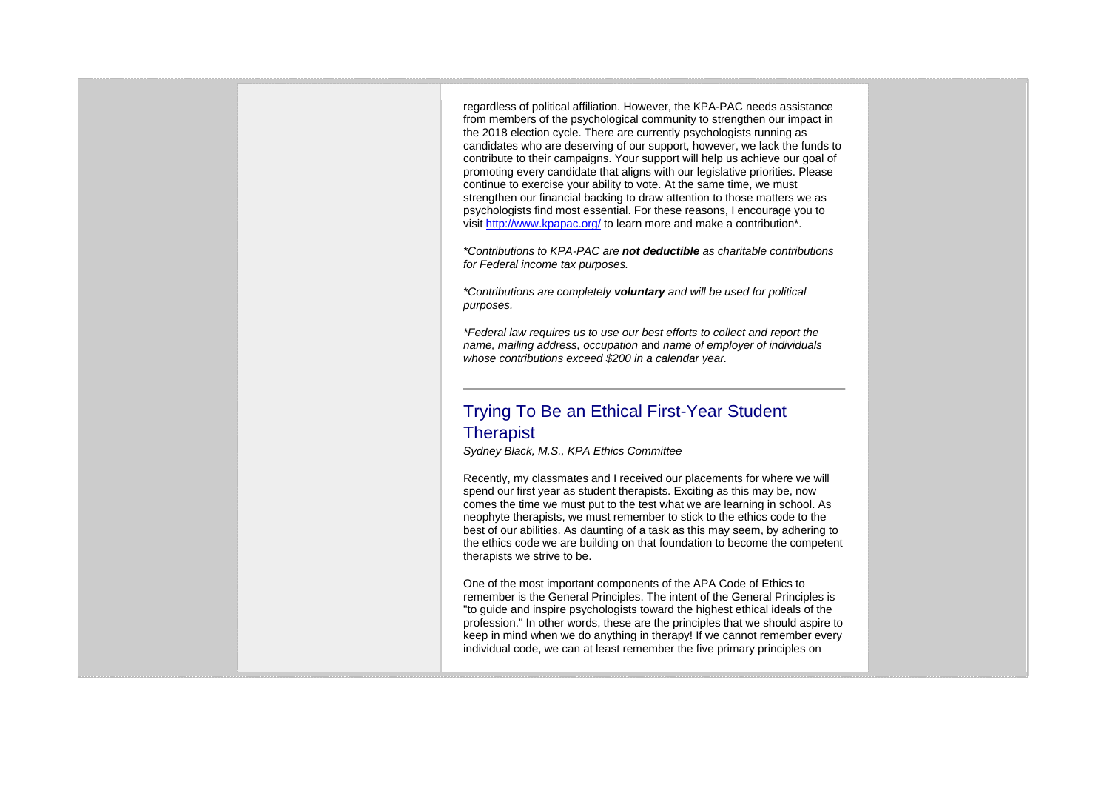regardless of political affiliation. However, the KPA-PAC needs assistance from members of the psychological community to strengthen our impact in the 2018 election cycle. There are currently psychologists running as candidates who are deserving of our support, however, we lack the funds to contribute to their campaigns. Your support will help us achieve our goal of promoting every candidate that aligns with our legislative priorities. Please continue to exercise your ability to vote. At the same time, we must strengthen our financial backing to draw attention to those matters we as psychologists find most essential. For these reasons, I encourage you to visit <http://www.kpapac.org/> to learn more and make a contribution\*.

*\*Contributions to KPA-PAC are not deductible as charitable contributions for Federal income tax purposes.*

*\*Contributions are completely voluntary and will be used for political purposes.*

*\*Federal law requires us to use our best efforts to collect and report the name, mailing address, occupation* and *name of employer of individuals whose contributions exceed \$200 in a calendar year.*

## Trying To Be an Ethical First-Year Student **Therapist**

*Sydney Black, M.S., KPA Ethics Committee*

Recently, my classmates and I received our placements for where we will spend our first year as student therapists. Exciting as this may be, now comes the time we must put to the test what we are learning in school. As neophyte therapists, we must remember to stick to the ethics code to the best of our abilities. As daunting of a task as this may seem, by adhering to the ethics code we are building on that foundation to become the competent therapists we strive to be.

One of the most important components of the APA Code of Ethics to remember is the General Principles. The intent of the General Principles is "to guide and inspire psychologists toward the highest ethical ideals of the profession." In other words, these are the principles that we should aspire to keep in mind when we do anything in therapy! If we cannot remember every individual code, we can at least remember the five primary principles on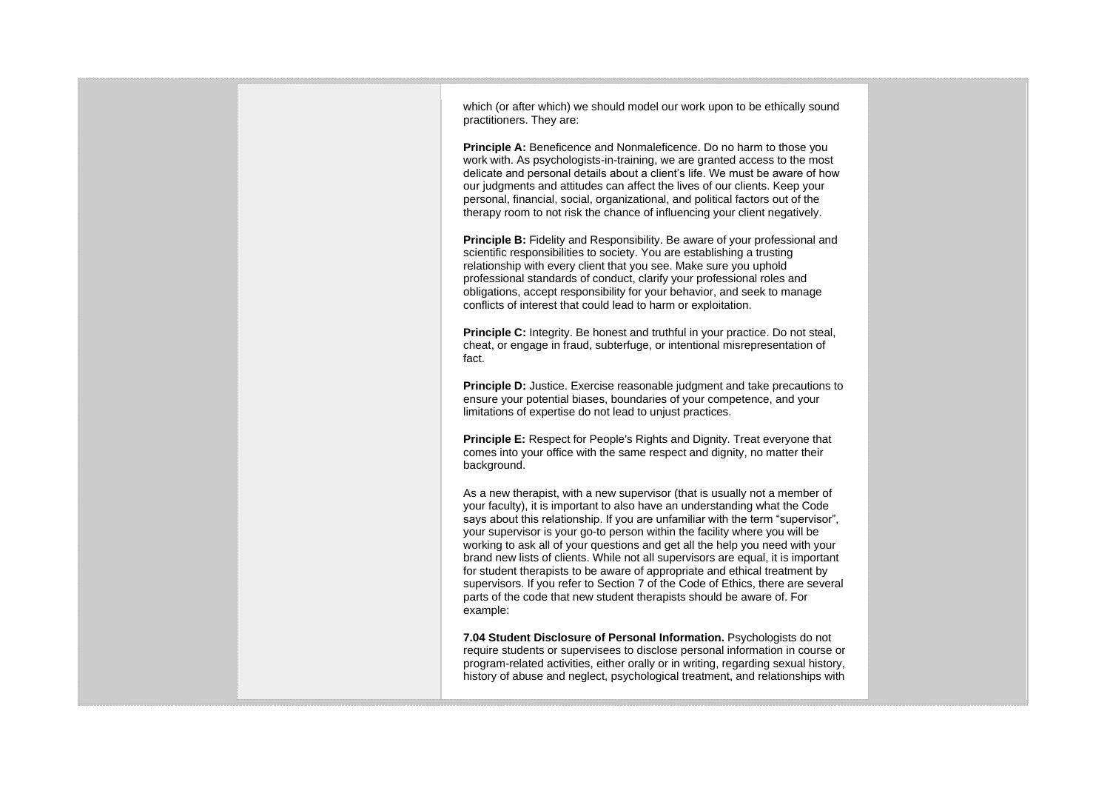| which (or after which) we should model our work upon to be ethically sound<br>practitioners. They are:<br><b>Principle A:</b> Beneficence and Nonmaleficence. Do no harm to those you<br>work with. As psychologists-in-training, we are granted access to the most<br>delicate and personal details about a client's life. We must be aware of how<br>our judgments and attitudes can affect the lives of our clients. Keep your<br>personal, financial, social, organizational, and political factors out of the<br>therapy room to not risk the chance of influencing your client negatively.<br><b>Principle B:</b> Fidelity and Responsibility. Be aware of your professional and<br>scientific responsibilities to society. You are establishing a trusting<br>relationship with every client that you see. Make sure you uphold<br>professional standards of conduct, clarify your professional roles and<br>obligations, accept responsibility for your behavior, and seek to manage<br>conflicts of interest that could lead to harm or exploitation. |  |
|----------------------------------------------------------------------------------------------------------------------------------------------------------------------------------------------------------------------------------------------------------------------------------------------------------------------------------------------------------------------------------------------------------------------------------------------------------------------------------------------------------------------------------------------------------------------------------------------------------------------------------------------------------------------------------------------------------------------------------------------------------------------------------------------------------------------------------------------------------------------------------------------------------------------------------------------------------------------------------------------------------------------------------------------------------------|--|
| <b>Principle C:</b> Integrity. Be honest and truthful in your practice. Do not steal,<br>cheat, or engage in fraud, subterfuge, or intentional misrepresentation of<br>fact.<br><b>Principle D:</b> Justice. Exercise reasonable judgment and take precautions to<br>ensure your potential biases, boundaries of your competence, and your<br>limitations of expertise do not lead to unjust practices.                                                                                                                                                                                                                                                                                                                                                                                                                                                                                                                                                                                                                                                        |  |
| Principle E: Respect for People's Rights and Dignity. Treat everyone that<br>comes into your office with the same respect and dignity, no matter their<br>background.<br>As a new therapist, with a new supervisor (that is usually not a member of                                                                                                                                                                                                                                                                                                                                                                                                                                                                                                                                                                                                                                                                                                                                                                                                            |  |
| your faculty), it is important to also have an understanding what the Code<br>says about this relationship. If you are unfamiliar with the term "supervisor",<br>your supervisor is your go-to person within the facility where you will be<br>working to ask all of your questions and get all the help you need with your<br>brand new lists of clients. While not all supervisors are equal, it is important<br>for student therapists to be aware of appropriate and ethical treatment by<br>supervisors. If you refer to Section 7 of the Code of Ethics, there are several<br>parts of the code that new student therapists should be aware of. For<br>example:                                                                                                                                                                                                                                                                                                                                                                                          |  |
| 7.04 Student Disclosure of Personal Information. Psychologists do not<br>require students or supervisees to disclose personal information in course or<br>program-related activities, either orally or in writing, regarding sexual history,<br>history of abuse and neglect, psychological treatment, and relationships with                                                                                                                                                                                                                                                                                                                                                                                                                                                                                                                                                                                                                                                                                                                                  |  |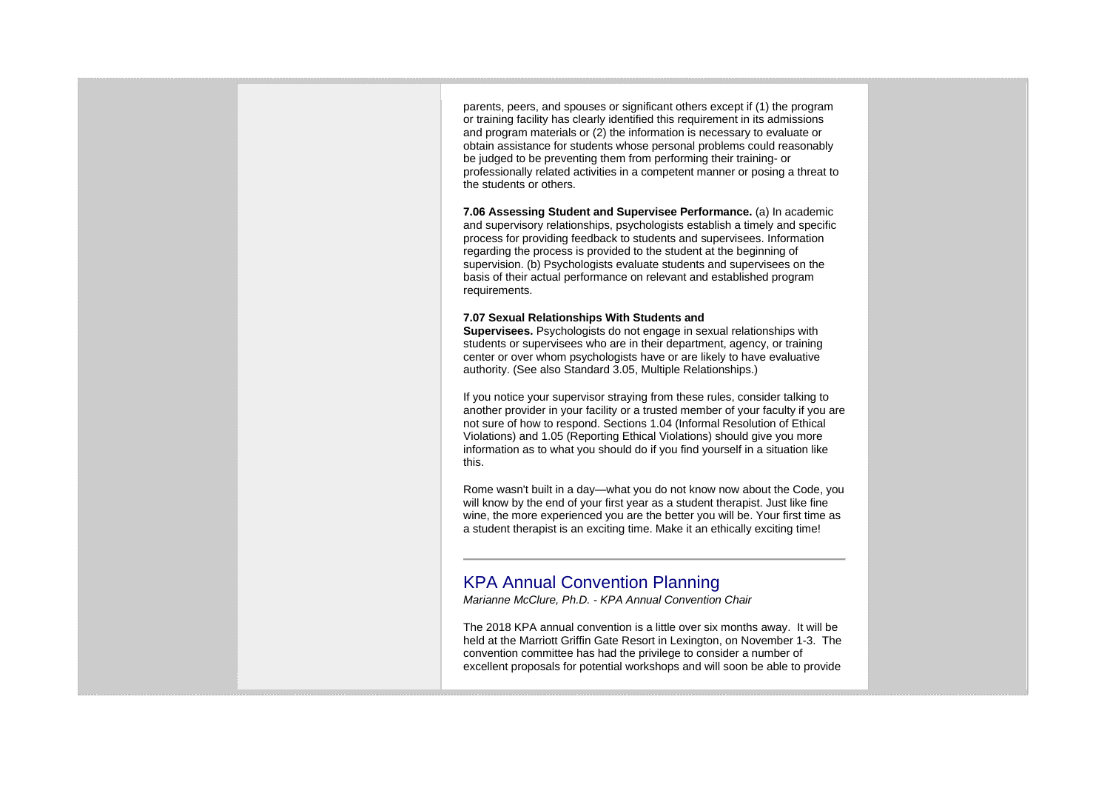parents, peers, and spouses or significant others except if (1) the program or training facility has clearly identified this requirement in its admissions and program materials or (2) the information is necessary to evaluate or obtain assistance for students whose personal problems could reasonably be judged to be preventing them from performing their training- or professionally related activities in a competent manner or posing a threat to the students or others.

**7.06 Assessing Student and Supervisee Performance.** (a) In academic and supervisory relationships, psychologists establish a timely and specific process for providing feedback to students and supervisees. Information regarding the process is provided to the student at the beginning of supervision. (b) Psychologists evaluate students and supervisees on the basis of their actual performance on relevant and established program requirements.

## **7.07 Sexual Relationships With Students and**

**Supervisees.** Psychologists do not engage in sexual relationships with students or supervisees who are in their department, agency, or training center or over whom psychologists have or are likely to have evaluative authority. (See also Standard 3.05, Multiple Relationships.)

If you notice your supervisor straying from these rules, consider talking to another provider in your facility or a trusted member of your faculty if you are not sure of how to respond. Sections 1.04 (Informal Resolution of Ethical Violations) and 1.05 (Reporting Ethical Violations) should give you more information as to what you should do if you find yourself in a situation like this.

Rome wasn't built in a day—what you do not know now about the Code, you will know by the end of your first year as a student therapist. Just like fine wine, the more experienced you are the better you will be. Your first time as a student therapist is an exciting time. Make it an ethically exciting time!

## KPA Annual Convention Planning

*Marianne McClure, Ph.D. - KPA Annual Convention Chair*

The 2018 KPA annual convention is a little over six months away. It will be held at the Marriott Griffin Gate Resort in Lexington, on November 1-3. The convention committee has had the privilege to consider a number of excellent proposals for potential workshops and will soon be able to provide